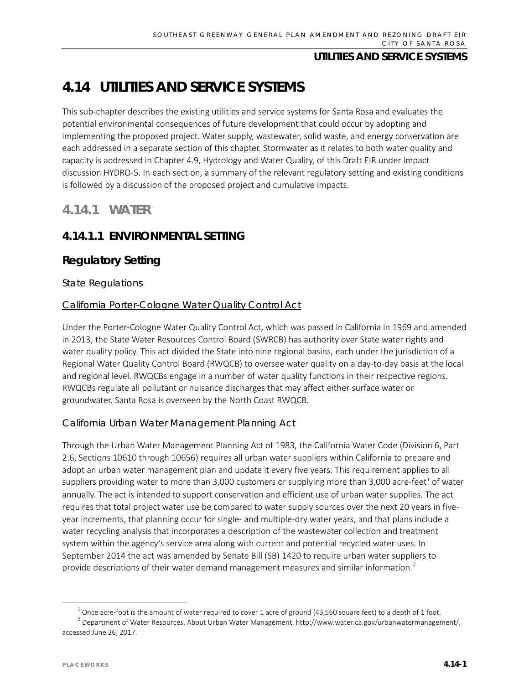# **4.14 UTILITIES AND SERVICE SYSTEMS**

This sub-chapter describes the existing utilities and service systems for Santa Rosa and evaluates the potential environmental consequences of future development that could occur by adopting and implementing the proposed project. Water supply, wastewater, solid waste, and energy conservation are each addressed in a separate section of this chapter. Stormwater as it relates to both water quality and capacity is addressed in Chapter 4.9, Hydrology and Water Quality, of this Draft EIR under impact discussion HYDRO-5. In each section, a summary of the relevant regulatory setting and existing conditions is followed by a discussion of the proposed project and cumulative impacts.

## **4.14.1 WATER**

## **4.14.1.1 ENVIRONMENTAL SETTING**

## **Regulatory Setting**

### *State Regulations*

### California Porter-Cologne Water Quality Control Act

Under the Porter-Cologne Water Quality Control Act, which was passed in California in 1969 and amended in 2013, the State Water Resources Control Board (SWRCB) has authority over State water rights and water quality policy. This act divided the State into nine regional basins, each under the jurisdiction of a Regional Water Quality Control Board (RWQCB) to oversee water quality on a day-to-day basis at the local and regional level. RWQCBs engage in a number of water quality functions in their respective regions. RWQCBs regulate all pollutant or nuisance discharges that may affect either surface water or groundwater. Santa Rosa is overseen by the North Coast RWQCB.

## California Urban Water Management Planning Act

Through the Urban Water Management Planning Act of 1983, the California Water Code (Division 6, Part 2.6, Sections 10610 through 10656) requires all urban water suppliers within California to prepare and adopt an urban water management plan and update it every five years. This requirement applies to all suppliers providing water to more than 3,000 customers or supplying more than 3,000 acre-feet<sup>[1](#page-0-0)</sup> of water annually. The act is intended to support conservation and efficient use of urban water supplies. The act requires that total project water use be compared to water supply sources over the next 20 years in fiveyear increments, that planning occur for single- and multiple-dry water years, and that plans include a water recycling analysis that incorporates a description of the wastewater collection and treatment system within the agency's service area along with current and potential recycled water uses. In September 2014 the act was amended by Senate Bill (SB) 1420 to require urban water suppliers to provide descriptions of their water demand management measures and similar information.<sup>[2](#page-0-1)</sup>

<span id="page-0-1"></span><span id="page-0-0"></span><sup>&</sup>lt;sup>1</sup> Once acre-foot is the amount of water required to cover 1 acre of ground (43,560 square feet) to a depth of 1 foot.<br><sup>2</sup> Department of Water Resources. About Urban Water Management, http://www.water.ca.gov/urbanwaterma accessed June 26, 2017.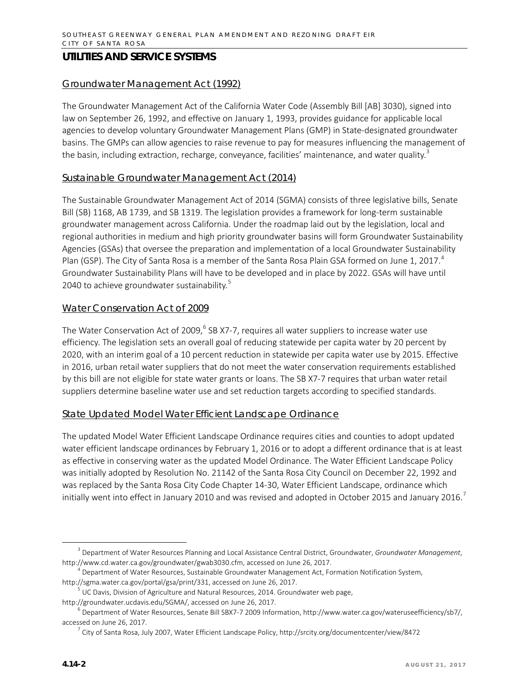#### Groundwater Management Act (1992)

The Groundwater Management Act of the California Water Code (Assembly Bill [AB] 3030), signed into law on September 26, 1992, and effective on January 1, 1993, provides guidance for applicable local agencies to develop voluntary Groundwater Management Plans (GMP) in State-designated groundwater basins. The GMPs can allow agencies to raise revenue to pay for measures influencing the management of the basin, including extraction, recharge, conveyance, facilities' maintenance, and water quality.<sup>[3](#page-1-0)</sup>

#### Sustainable Groundwater Management Act (2014)

The Sustainable Groundwater Management Act of 2014 (SGMA) consists of three legislative bills, Senate Bill (SB) 1168, AB 1739, and SB 1319. The legislation provides a framework for long-term sustainable groundwater management across California. Under the roadmap laid out by the legislation, local and regional authorities in medium and high priority groundwater basins will form Groundwater Sustainability Agencies (GSAs) that oversee the preparation and implementation of a local Groundwater Sustainability Plan (GSP). The City of Santa Rosa is a member of the Santa Rosa Plain GSA formed on June 1, 2017.<sup>[4](#page-1-1)</sup> Groundwater Sustainability Plans will have to be developed and in place by 2022. GSAs will have until 2040 to achieve groundwater sustainability.<sup>[5](#page-1-2)</sup>

#### Water Conservation Act of 2009

The Water Conservation Act of 2009, $<sup>6</sup>$  $<sup>6</sup>$  $<sup>6</sup>$  SB X7-7, requires all water suppliers to increase water use</sup> efficiency. The legislation sets an overall goal of reducing statewide per capita water by 20 percent by 2020, with an interim goal of a 10 percent reduction in statewide per capita water use by 2015. Effective in 2016, urban retail water suppliers that do not meet the water conservation requirements established by this bill are not eligible for state water grants or loans. The SB X7-7 requires that urban water retail suppliers determine baseline water use and set reduction targets according to specified standards.

#### State Updated Model Water Efficient Landscape Ordinance

The updated Model Water Efficient Landscape Ordinance requires cities and counties to adopt updated water efficient landscape ordinances by February 1, 2016 or to adopt a different ordinance that is at least as effective in conserving water as the updated Model Ordinance. The Water Efficient Landscape Policy was initially adopted by Resolution No. 21142 of the Santa Rosa City Council on December 22, 1992 and was replaced by the Santa Rosa City Code Chapter 14-30, Water Efficient Landscape, ordinance which initially went into effect in January 2010 and was revised and adopted in October 2015 and January 2016.<sup>[7](#page-1-4)</sup>

<span id="page-1-0"></span> <sup>3</sup> Department of Water Resources Planning and Local Assistance Central District, Groundwater, *Groundwater Management*, http://www.cd.water.ca.gov/groundwater/gwab3030.cfm, accessed on June 26, 2017.

<span id="page-1-1"></span><sup>&</sup>lt;sup>4</sup> Department of Water Resources, Sustainable Groundwater Management Act, Formation Notification System, [http://sgma.water.ca.gov/portal/gsa/print/331,](http://sgma.water.ca.gov/portal/gsa/print/331) accessed on June 26, 2017.

<sup>&</sup>lt;sup>5</sup> UC Davis, Division of Agriculture and Natural Resources, 2014. Groundwater web page,

<span id="page-1-2"></span>[http://groundwater.ucdavis.edu/SGMA/,](http://groundwater.ucdavis.edu/SGMA/) accessed on June 26, 2017.

<span id="page-1-4"></span><span id="page-1-3"></span> $^6$  Department of Water Resources, Senate Bill SBX7-7 2009 Information, http://www.water.ca.gov/wateruseefficiency/sb7/, accessed on June 26, 2017.

 $^7$  City of Santa Rosa, July 2007, Water Efficient Landscape Policy, http://srcity.org/documentcenter/view/8472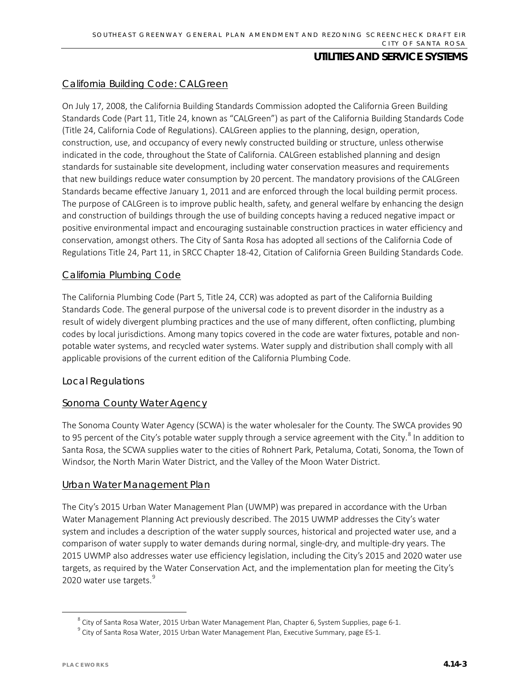#### California Building Code: CALGreen

On July 17, 2008, the California Building Standards Commission adopted the California Green Building Standards Code (Part 11, Title 24, known as "CALGreen") as part of the California Building Standards Code (Title 24, California Code of Regulations). CALGreen applies to the planning, design, operation, construction, use, and occupancy of every newly constructed building or structure, unless otherwise indicated in the code, throughout the State of California. CALGreen established planning and design standards for sustainable site development, including water conservation measures and requirements that new buildings reduce water consumption by 20 percent. The mandatory provisions of the CALGreen Standards became effective January 1, 2011 and are enforced through the local building permit process. The purpose of CALGreen is to improve public health, safety, and general welfare by enhancing the design and construction of buildings through the use of building concepts having a reduced negative impact or positive environmental impact and encouraging sustainable construction practices in water efficiency and conservation, amongst others. The City of Santa Rosa has adopted all sections of the California Code of Regulations Title 24, Part 11, in SRCC Chapter 18-42, Citation of California Green Building Standards Code.

#### California Plumbing Code

The California Plumbing Code (Part 5, Title 24, CCR) was adopted as part of the California Building Standards Code. The general purpose of the universal code is to prevent disorder in the industry as a result of widely divergent plumbing practices and the use of many different, often conflicting, plumbing codes by local jurisdictions. Among many topics covered in the code are water fixtures, potable and nonpotable water systems, and recycled water systems. Water supply and distribution shall comply with all applicable provisions of the current edition of the California Plumbing Code.

#### *Local Regulations*

#### Sonoma County Water Agency

The Sonoma County Water Agency (SCWA) is the water wholesaler for the County. The SWCA provides 90 to 95 percent of the City's potable water supply through a service agreement with the City.<sup>[8](#page-2-0)</sup> In addition to Santa Rosa, the SCWA supplies water to the cities of Rohnert Park, Petaluma, Cotati, Sonoma, the Town of Windsor, the North Marin Water District, and the Valley of the Moon Water District.

#### Urban Water Management Plan

The City's 2015 Urban Water Management Plan (UWMP) was prepared in accordance with the Urban Water Management Planning Act previously described. The 2015 UWMP addresses the City's water system and includes a description of the water supply sources, historical and projected water use, and a comparison of water supply to water demands during normal, single-dry, and multiple-dry years. The 2015 UWMP also addresses water use efficiency legislation, including the City's 2015 and 2020 water use targets, as required by the Water Conservation Act, and the implementation plan for meeting the City's 2020 water use targets.<sup>[9](#page-2-1)</sup>

 $8$  City of Santa Rosa Water, 2015 Urban Water Management Plan, Chapter 6, System Supplies, page 6-1.

<span id="page-2-1"></span><span id="page-2-0"></span><sup>&</sup>lt;sup>9</sup> City of Santa Rosa Water, 2015 Urban Water Management Plan, Executive Summary, page ES-1.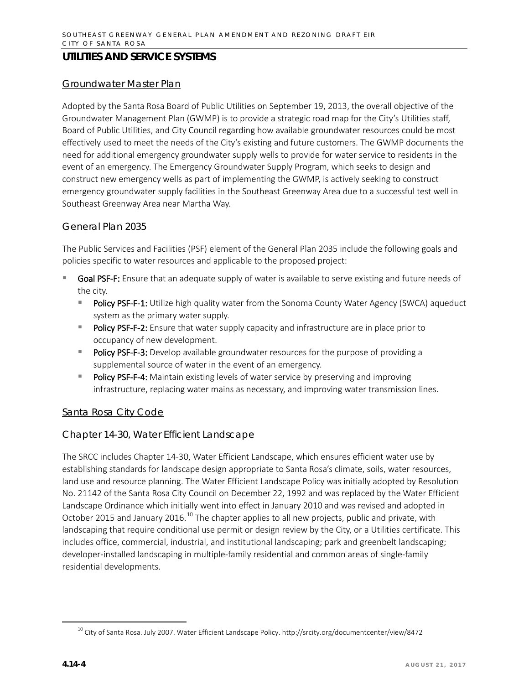#### Groundwater Master Plan

Adopted by the Santa Rosa Board of Public Utilities on September 19, 2013, the overall objective of the Groundwater Management Plan (GWMP) is to provide a strategic road map for the City's Utilities staff, Board of Public Utilities, and City Council regarding how available groundwater resources could be most effectively used to meet the needs of the City's existing and future customers. The GWMP documents the need for additional emergency groundwater supply wells to provide for water service to residents in the event of an emergency. The Emergency Groundwater Supply Program, which seeks to design and construct new emergency wells as part of implementing the GWMP, is actively seeking to construct emergency groundwater supply facilities in the Southeast Greenway Area due to a successful test well in Southeast Greenway Area near Martha Way.

#### General Plan 2035

The Public Services and Facilities (PSF) element of the General Plan 2035 include the following goals and policies specific to water resources and applicable to the proposed project:

- Goal PSF-F: Ensure that an adequate supply of water is available to serve existing and future needs of the city.
	- Policy PSF-F-1: Utilize high quality water from the Sonoma County Water Agency (SWCA) aqueduct system as the primary water supply.
	- Policy PSF-F-2: Ensure that water supply capacity and infrastructure are in place prior to occupancy of new development.
	- Policy PSF-F-3: Develop available groundwater resources for the purpose of providing a supplemental source of water in the event of an emergency.
	- **Policy PSF-F-4:** Maintain existing levels of water service by preserving and improving infrastructure, replacing water mains as necessary, and improving water transmission lines.

#### Santa Rosa City Code

#### Chapter 14-30, Water Efficient Landscape

The SRCC includes Chapter 14-30, Water Efficient Landscape, which ensures efficient water use by establishing standards for landscape design appropriate to Santa Rosa's climate, soils, water resources, land use and resource planning. The Water Efficient Landscape Policy was initially adopted by Resolution No. 21142 of the Santa Rosa City Council on December 22, 1992 and was replaced by the Water Efficient Landscape Ordinance which initially went into effect in January 2010 and was revised and adopted in October 2015 and January 2016.<sup>[10](#page-3-0)</sup> The chapter applies to all new projects, public and private, with landscaping that require conditional use permit or design review by the City, or a Utilities certificate. This includes office, commercial, industrial, and institutional landscaping; park and greenbelt landscaping; developer-installed landscaping in multiple-family residential and common areas of single-family residential developments.

<span id="page-3-0"></span><sup>&</sup>lt;sup>10</sup> City of Santa Rosa. July 2007. Water Efficient Landscape Policy. http://srcity.org/documentcenter/view/8472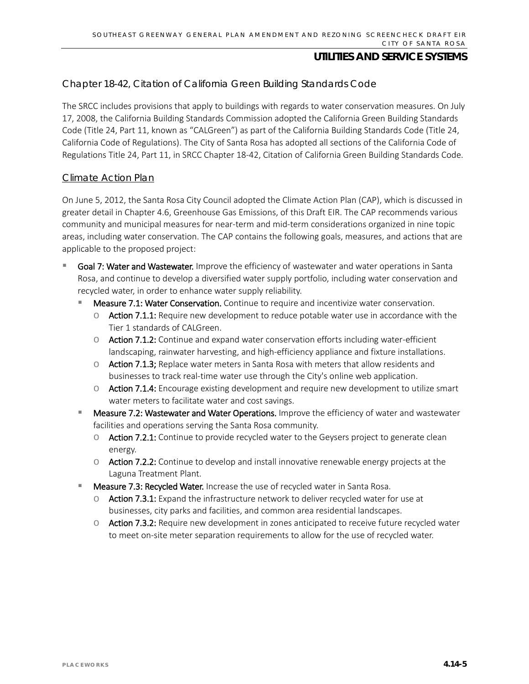#### Chapter 18-42, Citation of California Green Building Standards Code

The SRCC includes provisions that apply to buildings with regards to water conservation measures. On July 17, 2008, the California Building Standards Commission adopted the California Green Building Standards Code (Title 24, Part 11, known as "CALGreen") as part of the California Building Standards Code (Title 24, California Code of Regulations). The City of Santa Rosa has adopted all sections of the California Code of Regulations Title 24, Part 11, in SRCC Chapter 18-42, Citation of California Green Building Standards Code.

#### Climate Action Plan

On June 5, 2012, the Santa Rosa City Council adopted the Climate Action Plan (CAP), which is discussed in greater detail in Chapter 4.6, Greenhouse Gas Emissions, of this Draft EIR. The CAP recommends various community and municipal measures for near-term and mid-term considerations organized in nine topic areas, including water conservation. The CAP contains the following goals, measures, and actions that are applicable to the proposed project:

- Goal 7: Water and Wastewater. Improve the efficiency of wastewater and water operations in Santa Rosa, and continue to develop a diversified water supply portfolio, including water conservation and recycled water, in order to enhance water supply reliability.
	- Measure 7.1: Water Conservation. Continue to require and incentivize water conservation.
		- $\circ$  Action 7.1.1: Require new development to reduce potable water use in accordance with the Tier 1 standards of CALGreen.
		- o Action 7.1.2: Continue and expand water conservation efforts including water-efficient landscaping, rainwater harvesting, and high-efficiency appliance and fixture installations.
		- $\circ$  Action 7.1.3; Replace water meters in Santa Rosa with meters that allow residents and businesses to track real-time water use through the City's online web application.
		- $\circ$  Action 7.1.4: Encourage existing development and require new development to utilize smart water meters to facilitate water and cost savings.
	- Measure 7.2: Wastewater and Water Operations. Improve the efficiency of water and wastewater facilities and operations serving the Santa Rosa community.
		- $\circ$  Action 7.2.1: Continue to provide recycled water to the Geysers project to generate clean energy.
		- $\circ$  Action 7.2.2: Continue to develop and install innovative renewable energy projects at the Laguna Treatment Plant.
	- Measure 7.3: Recycled Water. Increase the use of recycled water in Santa Rosa.
		- $\circ$  Action 7.3.1: Expand the infrastructure network to deliver recycled water for use at businesses, city parks and facilities, and common area residential landscapes.
		- $\circ$  Action 7.3.2: Require new development in zones anticipated to receive future recycled water to meet on-site meter separation requirements to allow for the use of recycled water.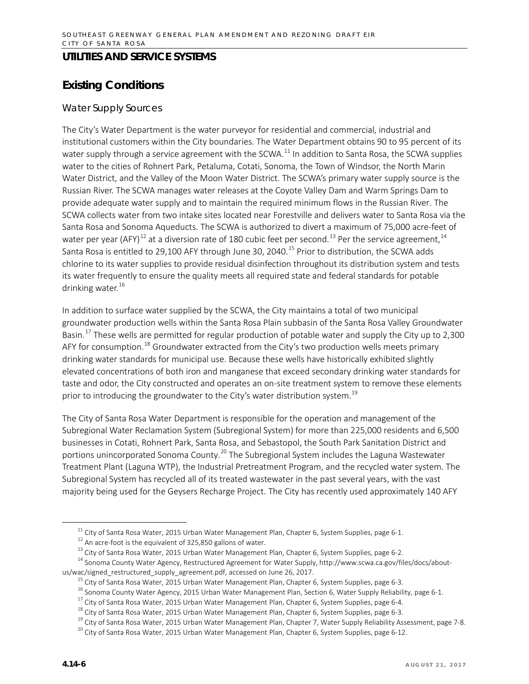# **Existing Conditions**

#### *Water Supply Sources*

The City's Water Department is the water purveyor for residential and commercial, industrial and institutional customers within the City boundaries. The Water Department obtains 90 to 95 percent of its water supply through a service agreement with the SCWA.<sup>[11](#page-5-0)</sup> In addition to Santa Rosa, the SCWA supplies water to the cities of Rohnert Park, Petaluma, Cotati, Sonoma, the Town of Windsor, the North Marin Water District, and the Valley of the Moon Water District. The SCWA's primary water supply source is the Russian River. The SCWA manages water releases at the Coyote Valley Dam and Warm Springs Dam to provide adequate water supply and to maintain the required minimum flows in the Russian River. The SCWA collects water from two intake sites located near Forestville and delivers water to Santa Rosa via the Santa Rosa and Sonoma Aqueducts. The SCWA is authorized to divert a maximum of 75,000 acre-feet of water per year (AFY)<sup>[12](#page-5-1)</sup> at a diversion rate of 180 cubic feet per second.<sup>[13](#page-5-2)</sup> Per the service agreement,<sup>[14](#page-5-3)</sup> Santa Rosa is entitled to 29,100 AFY through June 30, 2040. [15](#page-5-4) Prior to distribution, the SCWA adds chlorine to its water supplies to provide residual disinfection throughout its distribution system and tests its water frequently to ensure the quality meets all required state and federal standards for potable drinking water. $16$ 

In addition to surface water supplied by the SCWA, the City maintains a total of two municipal groundwater production wells within the Santa Rosa Plain subbasin of the Santa Rosa Valley Groundwater Basin.<sup>[17](#page-5-6)</sup> These wells are permitted for regular production of potable water and supply the City up to 2,300 AFY for consumption.<sup>[18](#page-5-7)</sup> Groundwater extracted from the City's two production wells meets primary drinking water standards for municipal use. Because these wells have historically exhibited slightly elevated concentrations of both iron and manganese that exceed secondary drinking water standards for taste and odor, the City constructed and operates an on-site treatment system to remove these elements prior to introducing the groundwater to the City's water distribution system.<sup>[19](#page-5-8)</sup>

The City of Santa Rosa Water Department is responsible for the operation and management of the Subregional Water Reclamation System (Subregional System) for more than 225,000 residents and 6,500 businesses in Cotati, Rohnert Park, Santa Rosa, and Sebastopol, the South Park Sanitation District and portions unincorporated Sonoma County.<sup>[20](#page-5-9)</sup> The Subregional System includes the Laguna Wastewater Treatment Plant (Laguna WTP), the Industrial Pretreatment Program, and the recycled water system. The Subregional System has recycled all of its treated wastewater in the past several years, with the vast majority being used for the Geysers Recharge Project. The City has recently used approximately 140 AFY

<sup>&</sup>lt;sup>11</sup> City of Santa Rosa Water, 2015 Urban Water Management Plan, Chapter 6, System Supplies, page 6-1.<br><sup>12</sup> An acre-foot is the equivalent of 325,850 gallons of water.

<sup>&</sup>lt;sup>13</sup> City of Santa Rosa Water, 2015 Urban Water Management Plan, Chapter 6, System Supplies, page 6-2.

<span id="page-5-6"></span><span id="page-5-5"></span><span id="page-5-4"></span><span id="page-5-3"></span><span id="page-5-2"></span><span id="page-5-1"></span><span id="page-5-0"></span><sup>&</sup>lt;sup>14</sup> Sonoma County Water Agency, Restructured Agreement for Water Supply, [http://www.scwa.ca.gov/files/docs/about](http://www.scwa.ca.gov/files/docs/about-us/wac/signed_restructured_supply_agreement.pdf)[us/wac/signed\\_restructured\\_supply\\_agreement.pdf,](http://www.scwa.ca.gov/files/docs/about-us/wac/signed_restructured_supply_agreement.pdf) accessed on June 26, 2017.

 $15$  City of Santa Rosa Water, 2015 Urban Water Management Plan, Chapter 6, System Supplies, page 6-3.

<sup>&</sup>lt;sup>16</sup> Sonoma County Water Agency, 2015 Urban Water Management Plan, Section 6, Water Supply Reliability, page 6-1.

 $17$  City of Santa Rosa Water, 2015 Urban Water Management Plan, Chapter 6, System Supplies, page 6-4.

<sup>&</sup>lt;sup>18</sup> City of Santa Rosa Water, 2015 Urban Water Management Plan, Chapter 6, System Supplies, page 6-3.

<span id="page-5-8"></span><span id="page-5-7"></span> $19$  City of Santa Rosa Water, 2015 Urban Water Management Plan, Chapter 7, Water Supply Reliability Assessment, page 7-8.

<span id="page-5-9"></span><sup>&</sup>lt;sup>20</sup> City of Santa Rosa Water, 2015 Urban Water Management Plan, Chapter 6, System Supplies, page 6-12.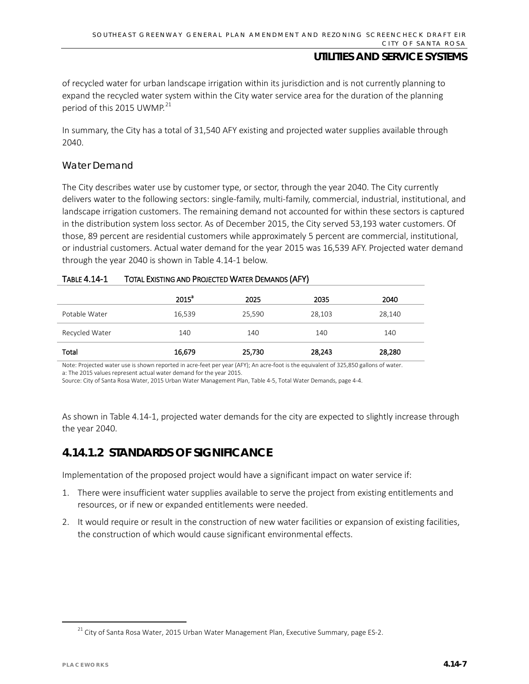of recycled water for urban landscape irrigation within its jurisdiction and is not currently planning to expand the recycled water system within the City water service area for the duration of the planning period of this 2015 UWMP.<sup>[21](#page-6-0)</sup>

In summary, the City has a total of 31,540 AFY existing and projected water supplies available through 2040.

#### *Water Demand*

The City describes water use by customer type, or sector, through the year 2040. The City currently delivers water to the following sectors: single-family, multi-family, commercial, industrial, institutional, and landscape irrigation customers. The remaining demand not accounted for within these sectors is captured in the distribution system loss sector. As of December 2015, the City served 53,193 water customers. Of those, 89 percent are residential customers while approximately 5 percent are commercial, institutional, or industrial customers. Actual water demand for the year 2015 was 16,539 AFY. Projected water demand through the year 2040 is shown in Table 4.14-1 below.

#### TABLE 4.14-1 TOTAL EXISTING AND PROJECTED WATER DEMANDS (AFY)

|                | 2015 <sup>a</sup> | 2025   | 2035   | 2040   |
|----------------|-------------------|--------|--------|--------|
| Potable Water  | 16,539            | 25,590 | 28,103 | 28,140 |
| Recycled Water | 140               | 140    | 140    | 140    |
| Total          | 16,679            | 25,730 | 28,243 | 28,280 |

Note: Projected water use is shown reported in acre-feet per year (AFY); An acre-foot is the equivalent of 325,850 gallons of water. a: The 2015 values represent actual water demand for the year 2015.

Source: City of Santa Rosa Water, 2015 Urban Water Management Plan, Table 4-5, Total Water Demands, page 4-4.

As shown in Table 4.14-1, projected water demands for the city are expected to slightly increase through the year 2040.

## **4.14.1.2 STANDARDS OF SIGNIFICANCE**

Implementation of the proposed project would have a significant impact on water service if:

- 1. There were insufficient water supplies available to serve the project from existing entitlements and resources, or if new or expanded entitlements were needed.
- 2. It would require or result in the construction of new water facilities or expansion of existing facilities, the construction of which would cause significant environmental effects.

<span id="page-6-0"></span> $21$  City of Santa Rosa Water, 2015 Urban Water Management Plan, Executive Summary, page ES-2.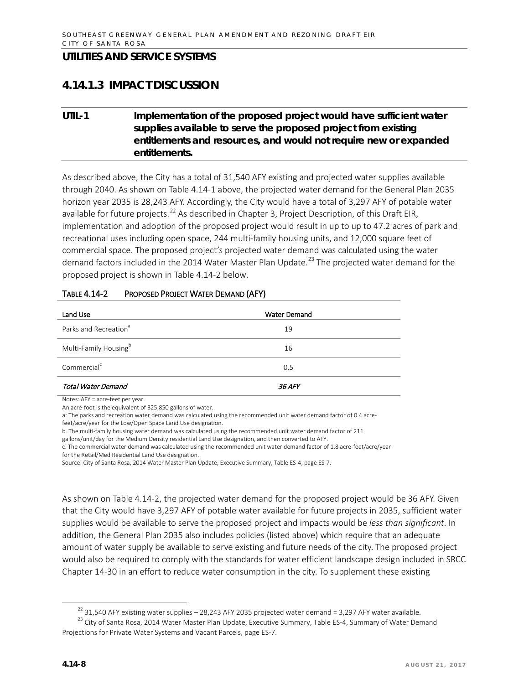## **4.14.1.3 IMPACT DISCUSSION**

## **UTIL-1 Implementation of the proposed project would have sufficient water supplies available to serve the proposed project from existing entitlements and resources, and would not require new or expanded entitlements.**

As described above, the City has a total of 31,540 AFY existing and projected water supplies available through 2040. As shown on Table 4.14-1 above, the projected water demand for the General Plan 2035 horizon year 2035 is 28,243 AFY. Accordingly, the City would have a total of 3,297 AFY of potable water available for future projects.<sup>[22](#page-7-0)</sup> As described in Chapter 3, Project Description, of this Draft EIR, implementation and adoption of the proposed project would result in up to up to 47.2 acres of park and recreational uses including open space, 244 multi-family housing units, and 12,000 square feet of commercial space. The proposed project's projected water demand was calculated using the water demand factors included in the 2014 Water Master Plan Update.<sup>[23](#page-7-1)</sup> The projected water demand for the proposed project is shown in Table 4.14-2 below.

| Land Use                          | <b>Water Demand</b> |
|-----------------------------------|---------------------|
| Parks and Recreation <sup>a</sup> | 19                  |
| Multi-Family Housing <sup>b</sup> | 16                  |
| Commercial <sup>c</sup>           | 0.5                 |
| Total Water Demand                | <i>36 AFY</i>       |

#### TABLE 4.14-2 PROPOSED PROJECT WATER DEMAND (AFY)

Notes: AFY = acre-feet per year.

An acre-foot is the equivalent of 325,850 gallons of water.

a: The parks and recreation water demand was calculated using the recommended unit water demand factor of 0.4 acrefeet/acre/year for the Low/Open Space Land Use designation.

b. The multi-family housing water demand was calculated using the recommended unit water demand factor of 211

gallons/unit/day for the Medium Density residential Land Use designation, and then converted to AFY.

c. The commercial water demand was calculated using the recommended unit water demand factor of 1.8 acre-feet/acre/year for the Retail/Med Residential Land Use designation.

Source: City of Santa Rosa, 2014 Water Master Plan Update, Executive Summary, Table ES-4, page ES-7.

As shown on Table 4.14-2, the projected water demand for the proposed project would be 36 AFY. Given that the City would have 3,297 AFY of potable water available for future projects in 2035, sufficient water supplies would be available to serve the proposed project and impacts would be *less than significant*. In addition, the General Plan 2035 also includes policies (listed above) which require that an adequate amount of water supply be available to serve existing and future needs of the city. The proposed project would also be required to comply with the standards for water efficient landscape design included in SRCC Chapter 14-30 in an effort to reduce water consumption in the city. To supplement these existing

<span id="page-7-1"></span><span id="page-7-0"></span><sup>&</sup>lt;sup>22</sup> 31,540 AFY existing water supplies – 28,243 AFY 2035 projected water demand = 3,297 AFY water available.<br><sup>23</sup> City of Santa Rosa, 2014 Water Master Plan Update, Executive Summary, Table ES-4, Summary of Water Demand Projections for Private Water Systems and Vacant Parcels, page ES-7.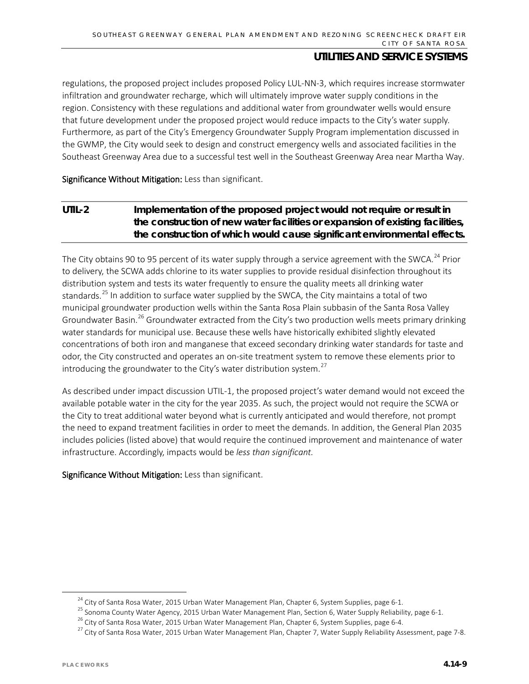regulations, the proposed project includes proposed Policy LUL-NN-3, which requires increase stormwater infiltration and groundwater recharge, which will ultimately improve water supply conditions in the region. Consistency with these regulations and additional water from groundwater wells would ensure that future development under the proposed project would reduce impacts to the City's water supply. Furthermore, as part of the City's Emergency Groundwater Supply Program implementation discussed in the GWMP, the City would seek to design and construct emergency wells and associated facilities in the Southeast Greenway Area due to a successful test well in the Southeast Greenway Area near Martha Way.

Significance Without Mitigation: Less than significant.

## **UTIL-2 Implementation of the proposed project would not require or result in the construction of new water facilities or expansion of existing facilities, the construction of which would cause significant environmental effects.**

The City obtains 90 to 95 percent of its water supply through a service agreement with the SWCA.<sup>[24](#page-8-0)</sup> Prior to delivery, the SCWA adds chlorine to its water supplies to provide residual disinfection throughout its distribution system and tests its water frequently to ensure the quality meets all drinking water standards.<sup>[25](#page-8-1)</sup> In addition to surface water supplied by the SWCA, the City maintains a total of two municipal groundwater production wells within the Santa Rosa Plain subbasin of the Santa Rosa Valley Groundwater Basin.<sup>[26](#page-8-2)</sup> Groundwater extracted from the City's two production wells meets primary drinking water standards for municipal use. Because these wells have historically exhibited slightly elevated concentrations of both iron and manganese that exceed secondary drinking water standards for taste and odor, the City constructed and operates an on-site treatment system to remove these elements prior to introducing the groundwater to the City's water distribution system.<sup>[27](#page-8-3)</sup>

As described under impact discussion UTIL-1, the proposed project's water demand would not exceed the available potable water in the city for the year 2035. As such, the project would not require the SCWA or the City to treat additional water beyond what is currently anticipated and would therefore, not prompt the need to expand treatment facilities in order to meet the demands. In addition, the General Plan 2035 includes policies (listed above) that would require the continued improvement and maintenance of water infrastructure. Accordingly, impacts would be *less than significant.* 

Significance Without Mitigation: Less than significant.

<span id="page-8-0"></span> $24$  City of Santa Rosa Water, 2015 Urban Water Management Plan, Chapter 6, System Supplies, page 6-1.

<span id="page-8-1"></span><sup>&</sup>lt;sup>25</sup> Sonoma County Water Agency, 2015 Urban Water Management Plan, Section 6, Water Supply Reliability, page 6-1.

<span id="page-8-2"></span> $^{26}$  City of Santa Rosa Water, 2015 Urban Water Management Plan, Chapter 6, System Supplies, page 6-4.

<span id="page-8-3"></span> $^{27}$  City of Santa Rosa Water, 2015 Urban Water Management Plan, Chapter 7, Water Supply Reliability Assessment, page 7-8.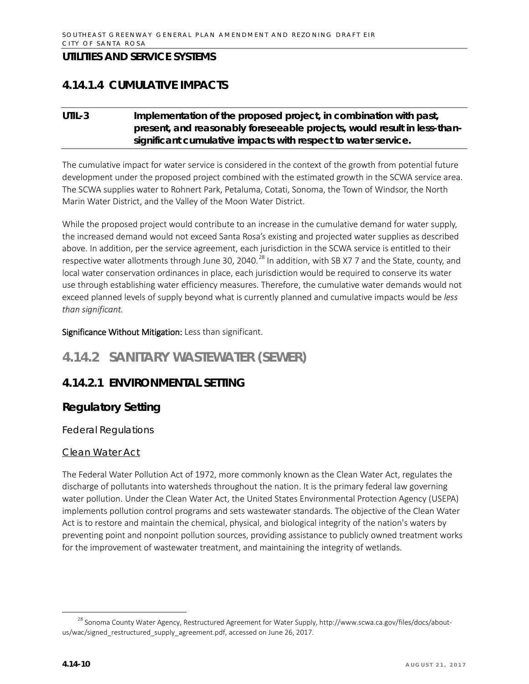## **4.14.1.4 CUMULATIVE IMPACTS**

## **UTIL-3 Implementation of the proposed project, in combination with past, present, and reasonably foreseeable projects, would result in less-thansignificant cumulative impacts with respect to water service.**

The cumulative impact for water service is considered in the context of the growth from potential future development under the proposed project combined with the estimated growth in the SCWA service area. The SCWA supplies water to Rohnert Park, Petaluma, Cotati, Sonoma, the Town of Windsor, the North Marin Water District, and the Valley of the Moon Water District.

While the proposed project would contribute to an increase in the cumulative demand for water supply, the increased demand would not exceed Santa Rosa's existing and projected water supplies as described above. In addition, per the service agreement, each jurisdiction in the SCWA service is entitled to their respective water allotments through June 30, 2040.<sup>[28](#page-9-0)</sup> In addition, with SB X7 7 and the State, county, and local water conservation ordinances in place, each jurisdiction would be required to conserve its water use through establishing water efficiency measures. Therefore, the cumulative water demands would not exceed planned levels of supply beyond what is currently planned and cumulative impacts would be *less than significant.*

Significance Without Mitigation: Less than significant.

# **4.14.2 SANITARY WASTEWATER (SEWER)**

## **4.14.2.1 ENVIRONMENTAL SETTING**

## **Regulatory Setting**

*Federal Regulations*

#### Clean Water Act

The Federal Water Pollution Act of 1972, more commonly known as the Clean Water Act, regulates the discharge of pollutants into watersheds throughout the nation. It is the primary federal law governing water pollution. Under the Clean Water Act, the United States Environmental Protection Agency (USEPA) implements pollution control programs and sets wastewater standards. The objective of the Clean Water Act is to restore and maintain the chemical, physical, and biological integrity of the nation's waters by preventing point and nonpoint pollution sources, providing assistance to publicly owned treatment works for the improvement of wastewater treatment, and maintaining the integrity of wetlands.

<span id="page-9-0"></span><sup>&</sup>lt;sup>28</sup> Sonoma County Water Agency, Restructured Agreement for Water Supply, [http://www.scwa.ca.gov/files/docs/about](http://www.scwa.ca.gov/files/docs/about-us/wac/signed_restructured_supply_agreement.pdf)[us/wac/signed\\_restructured\\_supply\\_agreement.pdf,](http://www.scwa.ca.gov/files/docs/about-us/wac/signed_restructured_supply_agreement.pdf) accessed on June 26, 2017.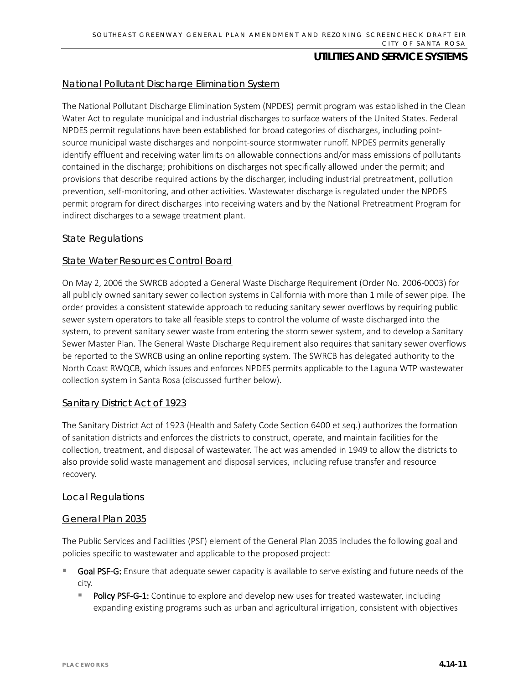#### National Pollutant Discharge Elimination System

The National Pollutant Discharge Elimination System (NPDES) permit program was established in the Clean Water Act to regulate municipal and industrial discharges to surface waters of the United States. Federal NPDES permit regulations have been established for broad categories of discharges, including pointsource municipal waste discharges and nonpoint-source stormwater runoff. NPDES permits generally identify effluent and receiving water limits on allowable connections and/or mass emissions of pollutants contained in the discharge; prohibitions on discharges not specifically allowed under the permit; and provisions that describe required actions by the discharger, including industrial pretreatment, pollution prevention, self-monitoring, and other activities. Wastewater discharge is regulated under the NPDES permit program for direct discharges into receiving waters and by the National Pretreatment Program for indirect discharges to a sewage treatment plant.

#### *State Regulations*

#### State Water Resources Control Board

On May 2, 2006 the SWRCB adopted a General Waste Discharge Requirement (Order No. 2006-0003) for all publicly owned sanitary sewer collection systems in California with more than 1 mile of sewer pipe. The order provides a consistent statewide approach to reducing sanitary sewer overflows by requiring public sewer system operators to take all feasible steps to control the volume of waste discharged into the system, to prevent sanitary sewer waste from entering the storm sewer system, and to develop a Sanitary Sewer Master Plan. The General Waste Discharge Requirement also requires that sanitary sewer overflows be reported to the SWRCB using an online reporting system. The SWRCB has delegated authority to the North Coast RWQCB, which issues and enforces NPDES permits applicable to the Laguna WTP wastewater collection system in Santa Rosa (discussed further below).

#### Sanitary District Act of 1923

The Sanitary District Act of 1923 (Health and Safety Code Section 6400 et seq.) authorizes the formation of sanitation districts and enforces the districts to construct, operate, and maintain facilities for the collection, treatment, and disposal of wastewater. The act was amended in 1949 to allow the districts to also provide solid waste management and disposal services, including refuse transfer and resource recovery.

#### *Local Regulations*

#### General Plan 2035

The Public Services and Facilities (PSF) element of the General Plan 2035 includes the following goal and policies specific to wastewater and applicable to the proposed project:

- Goal PSF-G: Ensure that adequate sewer capacity is available to serve existing and future needs of the city.
	- Policy PSF-G-1: Continue to explore and develop new uses for treated wastewater, including expanding existing programs such as urban and agricultural irrigation, consistent with objectives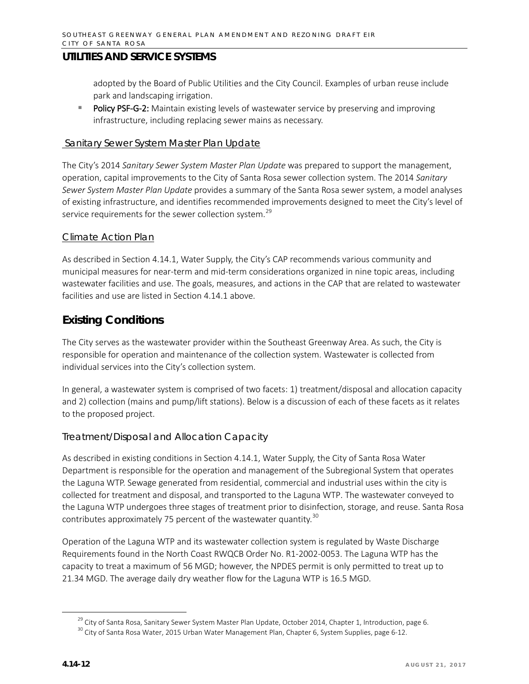adopted by the Board of Public Utilities and the City Council. Examples of urban reuse include park and landscaping irrigation.

Policy PSF-G-2: Maintain existing levels of wastewater service by preserving and improving infrastructure, including replacing sewer mains as necessary.

#### Sanitary Sewer System Master Plan Update

The City's 2014 *Sanitary Sewer System Master Plan Update* was prepared to support the management, operation, capital improvements to the City of Santa Rosa sewer collection system. The 2014 *Sanitary Sewer System Master Plan Update* provides a summary of the Santa Rosa sewer system, a model analyses of existing infrastructure, and identifies recommended improvements designed to meet the City's level of service requirements for the sewer collection system.<sup>[29](#page-11-0)</sup>

#### Climate Action Plan

As described in Section 4.14.1, Water Supply, the City's CAP recommends various community and municipal measures for near-term and mid-term considerations organized in nine topic areas, including wastewater facilities and use. The goals, measures, and actions in the CAP that are related to wastewater facilities and use are listed in Section 4.14.1 above.

## **Existing Conditions**

The City serves as the wastewater provider within the Southeast Greenway Area. As such, the City is responsible for operation and maintenance of the collection system. Wastewater is collected from individual services into the City's collection system.

In general, a wastewater system is comprised of two facets: 1) treatment/disposal and allocation capacity and 2) collection (mains and pump/lift stations). Below is a discussion of each of these facets as it relates to the proposed project.

## *Treatment/Disposal and Allocation Capacity*

As described in existing conditions in Section 4.14.1, Water Supply, the City of Santa Rosa Water Department is responsible for the operation and management of the Subregional System that operates the Laguna WTP. Sewage generated from residential, commercial and industrial uses within the city is collected for treatment and disposal, and transported to the Laguna WTP. The wastewater conveyed to the Laguna WTP undergoes three stages of treatment prior to disinfection, storage, and reuse. Santa Rosa contributes approximately 75 percent of the wastewater quantity.<sup>[30](#page-11-1)</sup>

Operation of the Laguna WTP and its wastewater collection system is regulated by Waste Discharge Requirements found in the North Coast RWQCB Order No. R1-2002-0053. The Laguna WTP has the capacity to treat a maximum of 56 MGD; however, the NPDES permit is only permitted to treat up to 21.34 MGD. The average daily dry weather flow for the Laguna WTP is 16.5 MGD.

<sup>&</sup>lt;sup>29</sup> City of Santa Rosa, Sanitary Sewer System Master Plan Update, October 2014, Chapter 1, Introduction, page 6.

<span id="page-11-1"></span><span id="page-11-0"></span><sup>&</sup>lt;sup>30</sup> City of Santa Rosa Water, 2015 Urban Water Management Plan, Chapter 6, System Supplies, page 6-12.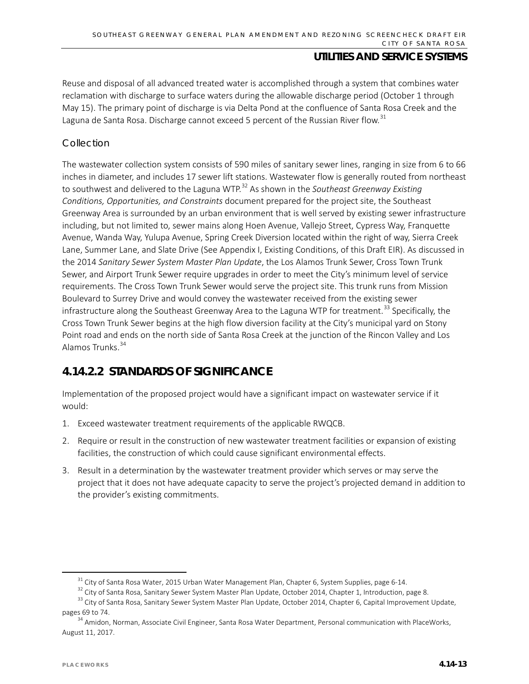Reuse and disposal of all advanced treated water is accomplished through a system that combines water reclamation with discharge to surface waters during the allowable discharge period (October 1 through May 15). The primary point of discharge is via Delta Pond at the confluence of Santa Rosa Creek and the Laguna de Santa Rosa. Discharge cannot exceed 5 percent of the Russian River flow.<sup>[31](#page-12-0)</sup>

### *Collection*

The wastewater collection system consists of 590 miles of sanitary sewer lines, ranging in size from 6 to 66 inches in diameter, and includes 17 sewer lift stations. Wastewater flow is generally routed from northeast to southwest and delivered to the Laguna WTP.[32](#page-12-1) As shown in the *Southeast Greenway Existing Conditions, Opportunities, and Constraints* document prepared for the project site, the Southeast Greenway Area is surrounded by an urban environment that is well served by existing sewer infrastructure including, but not limited to, sewer mains along Hoen Avenue, Vallejo Street, Cypress Way, Franquette Avenue, Wanda Way, Yulupa Avenue, Spring Creek Diversion located within the right of way, Sierra Creek Lane, Summer Lane, and Slate Drive (See Appendix I, Existing Conditions, of this Draft EIR). As discussed in the 2014 *Sanitary Sewer System Master Plan Update*, the Los Alamos Trunk Sewer, Cross Town Trunk Sewer, and Airport Trunk Sewer require upgrades in order to meet the City's minimum level of service requirements. The Cross Town Trunk Sewer would serve the project site. This trunk runs from Mission Boulevard to Surrey Drive and would convey the wastewater received from the existing sewer infrastructure along the Southeast Greenway Area to the Laguna WTP for treatment.<sup>[33](#page-12-2)</sup> Specifically, the Cross Town Trunk Sewer begins at the high flow diversion facility at the City's municipal yard on Stony Point road and ends on the north side of Santa Rosa Creek at the junction of the Rincon Valley and Los Alamos Trunks.<sup>[34](#page-12-3)</sup>

# **4.14.2.2 STANDARDS OF SIGNIFICANCE**

Implementation of the proposed project would have a significant impact on wastewater service if it would:

- 1. Exceed wastewater treatment requirements of the applicable RWQCB.
- 2. Require or result in the construction of new wastewater treatment facilities or expansion of existing facilities, the construction of which could cause significant environmental effects.
- 3. Result in a determination by the wastewater treatment provider which serves or may serve the project that it does not have adequate capacity to serve the project's projected demand in addition to the provider's existing commitments.

 $31$  City of Santa Rosa Water, 2015 Urban Water Management Plan, Chapter 6, System Supplies, page 6-14.

<sup>&</sup>lt;sup>32</sup> City of Santa Rosa, Sanitary Sewer System Master Plan Update, October 2014, Chapter 1, Introduction, page 8.

<span id="page-12-2"></span><span id="page-12-1"></span><span id="page-12-0"></span><sup>&</sup>lt;sup>33</sup> City of Santa Rosa, Sanitary Sewer System Master Plan Update, October 2014, Chapter 6, Capital Improvement Update, pages 69 to 74.

<span id="page-12-3"></span><sup>&</sup>lt;sup>34</sup> Amidon, Norman, Associate Civil Engineer, Santa Rosa Water Department, Personal communication with PlaceWorks, August 11, 2017.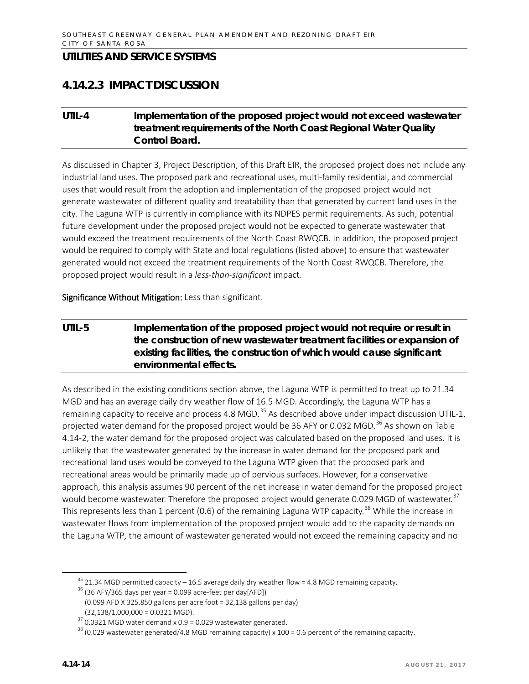## **4.14.2.3 IMPACT DISCUSSION**

## **UTIL-4 Implementation of the proposed project would not exceed wastewater treatment requirements of the North Coast Regional Water Quality Control Board.**

As discussed in Chapter 3, Project Description, of this Draft EIR, the proposed project does not include any industrial land uses. The proposed park and recreational uses, multi-family residential, and commercial uses that would result from the adoption and implementation of the proposed project would not generate wastewater of different quality and treatability than that generated by current land uses in the city. The Laguna WTP is currently in compliance with its NDPES permit requirements. As such, potential future development under the proposed project would not be expected to generate wastewater that would exceed the treatment requirements of the North Coast RWQCB. In addition, the proposed project would be required to comply with State and local regulations (listed above) to ensure that wastewater generated would not exceed the treatment requirements of the North Coast RWQCB. Therefore, the proposed project would result in a *less-than-significant* impact.

Significance Without Mitigation: Less than significant.

## **UTIL-5 Implementation of the proposed project would not require or result in the construction of new wastewater treatment facilities or expansion of existing facilities, the construction of which would cause significant environmental effects.**

As described in the existing conditions section above, the Laguna WTP is permitted to treat up to 21.34 MGD and has an average daily dry weather flow of 16.5 MGD. Accordingly, the Laguna WTP has a remaining capacity to receive and process 4.8 MGD.<sup>[35](#page-13-0)</sup> As described above under impact discussion UTIL-1, projected water demand for the proposed project would be [36](#page-13-1) AFY or 0.032 MGD.<sup>36</sup> As shown on Table 4.14-2, the water demand for the proposed project was calculated based on the proposed land uses. It is unlikely that the wastewater generated by the increase in water demand for the proposed park and recreational land uses would be conveyed to the Laguna WTP given that the proposed park and recreational areas would be primarily made up of pervious surfaces. However, for a conservative approach, this analysis assumes 90 percent of the net increase in water demand for the proposed project would become wastewater. Therefore the proposed project would generate 0.029 MGD of wastewater.<sup>[37](#page-13-2)</sup> This represents less than 1 percent (0.6) of the remaining Laguna WTP capacity.<sup>[38](#page-13-3)</sup> While the increase in wastewater flows from implementation of the proposed project would add to the capacity demands on the Laguna WTP, the amount of wastewater generated would not exceed the remaining capacity and no

 $35$  21.34 MGD permitted capacity – 16.5 average daily dry weather flow = 4.8 MGD remaining capacity.

<span id="page-13-1"></span><span id="page-13-0"></span> $36$  (36 AFY/365 days per year = 0.099 acre-feet per day[AFD])

 <sup>(0.099</sup> AFD X 325,850 gallons per acre foot = 32,138 gallons per day)  $(32, 138/1, 000, 000 = 0.0321$  MGD).

<span id="page-13-2"></span> $37$  0.0321 MGD water demand x 0.9 = 0.029 wastewater generated.

<span id="page-13-3"></span><sup>&</sup>lt;sup>38</sup> (0.029 wastewater generated/4.8 MGD remaining capacity) x 100 = 0.6 percent of the remaining capacity.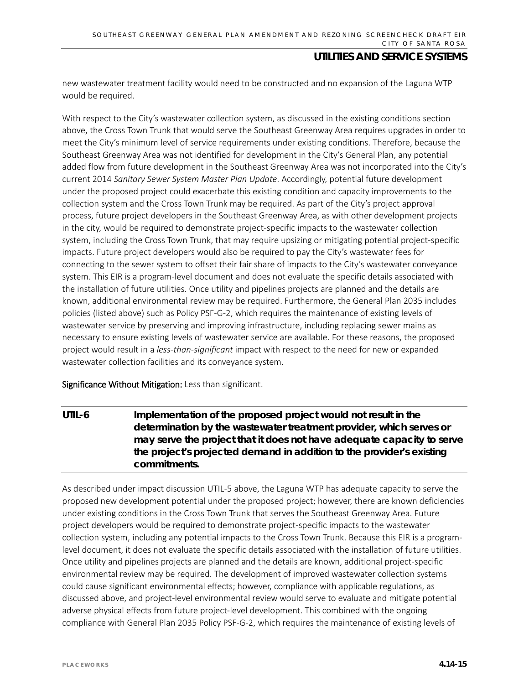new wastewater treatment facility would need to be constructed and no expansion of the Laguna WTP would be required.

With respect to the City's wastewater collection system, as discussed in the existing conditions section above, the Cross Town Trunk that would serve the Southeast Greenway Area requires upgrades in order to meet the City's minimum level of service requirements under existing conditions. Therefore, because the Southeast Greenway Area was not identified for development in the City's General Plan, any potential added flow from future development in the Southeast Greenway Area was not incorporated into the City's current 2014 *Sanitary Sewer System Master Plan Update*. Accordingly, potential future development under the proposed project could exacerbate this existing condition and capacity improvements to the collection system and the Cross Town Trunk may be required. As part of the City's project approval process, future project developers in the Southeast Greenway Area, as with other development projects in the city, would be required to demonstrate project-specific impacts to the wastewater collection system, including the Cross Town Trunk, that may require upsizing or mitigating potential project-specific impacts. Future project developers would also be required to pay the City's wastewater fees for connecting to the sewer system to offset their fair share of impacts to the City's wastewater conveyance system. This EIR is a program-level document and does not evaluate the specific details associated with the installation of future utilities. Once utility and pipelines projects are planned and the details are known, additional environmental review may be required. Furthermore, the General Plan 2035 includes policies (listed above) such as Policy PSF-G-2, which requires the maintenance of existing levels of wastewater service by preserving and improving infrastructure, including replacing sewer mains as necessary to ensure existing levels of wastewater service are available. For these reasons, the proposed project would result in a *less-than-significant* impact with respect to the need for new or expanded wastewater collection facilities and its conveyance system.

Significance Without Mitigation: Less than significant.

**UTIL-6 Implementation of the proposed project would not result in the determination by the wastewater treatment provider, which serves or may serve the project that it does not have adequate capacity to serve the project's projected demand in addition to the provider's existing commitments.** 

As described under impact discussion UTIL-5 above, the Laguna WTP has adequate capacity to serve the proposed new development potential under the proposed project; however, there are known deficiencies under existing conditions in the Cross Town Trunk that serves the Southeast Greenway Area. Future project developers would be required to demonstrate project-specific impacts to the wastewater collection system, including any potential impacts to the Cross Town Trunk. Because this EIR is a programlevel document, it does not evaluate the specific details associated with the installation of future utilities. Once utility and pipelines projects are planned and the details are known, additional project-specific environmental review may be required. The development of improved wastewater collection systems could cause significant environmental effects; however, compliance with applicable regulations, as discussed above, and project-level environmental review would serve to evaluate and mitigate potential adverse physical effects from future project-level development. This combined with the ongoing compliance with General Plan 2035 Policy PSF-G-2, which requires the maintenance of existing levels of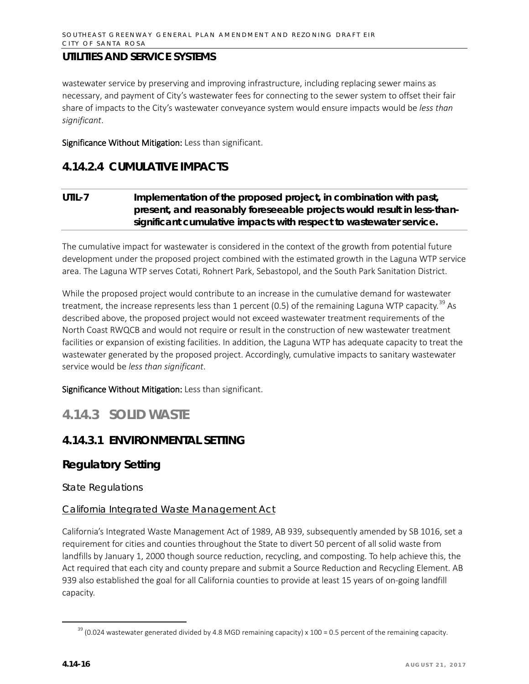wastewater service by preserving and improving infrastructure, including replacing sewer mains as necessary, and payment of City's wastewater fees for connecting to the sewer system to offset their fair share of impacts to the City's wastewater conveyance system would ensure impacts would be *less than significant*.

Significance Without Mitigation: Less than significant.

## **4.14.2.4 CUMULATIVE IMPACTS**

## **UTIL-7 Implementation of the proposed project, in combination with past, present, and reasonably foreseeable projects would result in less-thansignificant cumulative impacts with respect to wastewater service.**

The cumulative impact for wastewater is considered in the context of the growth from potential future development under the proposed project combined with the estimated growth in the Laguna WTP service area. The Laguna WTP serves Cotati, Rohnert Park, Sebastopol, and the South Park Sanitation District.

While the proposed project would contribute to an increase in the cumulative demand for wastewater treatment, the increase represents less than 1 percent (0.5) of the remaining Laguna WTP capacity.<sup>[39](#page-15-0)</sup> As described above, the proposed project would not exceed wastewater treatment requirements of the North Coast RWQCB and would not require or result in the construction of new wastewater treatment facilities or expansion of existing facilities. In addition, the Laguna WTP has adequate capacity to treat the wastewater generated by the proposed project. Accordingly, cumulative impacts to sanitary wastewater service would be *less than significant*.

Significance Without Mitigation: Less than significant.

# **4.14.3 SOLID WASTE**

## **4.14.3.1 ENVIRONMENTAL SETTING**

## **Regulatory Setting**

*State Regulations*

## California Integrated Waste Management Act

California's Integrated Waste Management Act of 1989, AB 939, subsequently amended by SB 1016, set a requirement for cities and counties throughout the State to divert 50 percent of all solid waste from landfills by January 1, 2000 though source reduction, recycling, and composting. To help achieve this, the Act required that each city and county prepare and submit a Source Reduction and Recycling Element. AB 939 also established the goal for all California counties to provide at least 15 years of on-going landfill capacity.

<span id="page-15-0"></span> $39$  (0.024 wastewater generated divided by 4.8 MGD remaining capacity) x 100 = 0.5 percent of the remaining capacity.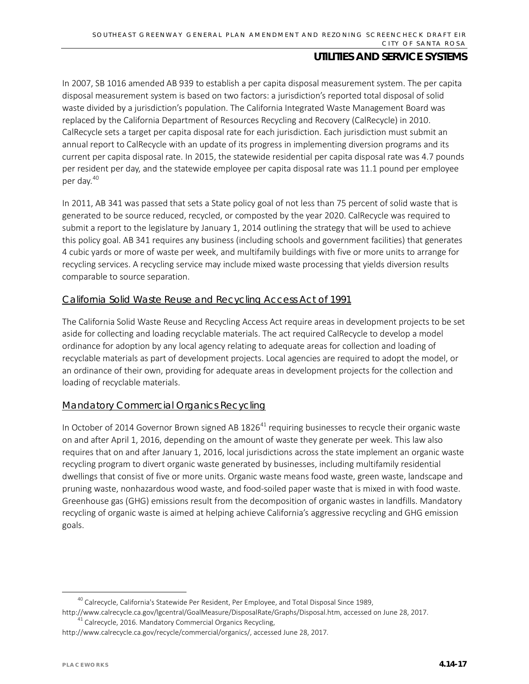In 2007, SB 1016 amended AB 939 to establish a per capita disposal measurement system. The per capita disposal measurement system is based on two factors: a jurisdiction's reported total disposal of solid waste divided by a jurisdiction's population. The California Integrated Waste Management Board was replaced by the California Department of Resources Recycling and Recovery (CalRecycle) in 2010. CalRecycle sets a target per capita disposal rate for each jurisdiction. Each jurisdiction must submit an annual report to CalRecycle with an update of its progress in implementing diversion programs and its current per capita disposal rate. In 2015, the statewide residential per capita disposal rate was 4.7 pounds per resident per day, and the statewide employee per capita disposal rate was 11.1 pound per employee per day.[40](#page-16-0)

In 2011, AB 341 was passed that sets a State policy goal of not less than 75 percent of solid waste that is generated to be source reduced, recycled, or composted by the year 2020. CalRecycle was required to submit a report to the legislature by January 1, 2014 outlining the strategy that will be used to achieve this policy goal. AB 341 requires any business (including schools and government facilities) that generates 4 cubic yards or more of waste per week, and multifamily buildings with five or more units to arrange for recycling services. A recycling service may include mixed waste processing that yields diversion results comparable to source separation.

#### California Solid Waste Reuse and Recycling Access Act of 1991

The California Solid Waste Reuse and Recycling Access Act require areas in development projects to be set aside for collecting and loading recyclable materials. The act required CalRecycle to develop a model ordinance for adoption by any local agency relating to adequate areas for collection and loading of recyclable materials as part of development projects. Local agencies are required to adopt the model, or an ordinance of their own, providing for adequate areas in development projects for the collection and loading of recyclable materials.

## Mandatory Commercial Organics Recycling

In October of 2014 Governor Brown signed AB  $1826<sup>41</sup>$  $1826<sup>41</sup>$  $1826<sup>41</sup>$  requiring businesses to recycle their organic waste on and after April 1, 2016, depending on the amount of waste they generate per week. This law also requires that on and after January 1, 2016, local jurisdictions across the state implement an organic waste recycling program to divert organic waste generated by businesses, including multifamily residential dwellings that consist of five or more units. Organic waste means food waste, green waste, landscape and pruning waste, nonhazardous wood waste, and food-soiled paper waste that is mixed in with food waste. Greenhouse gas (GHG) emissions result from the decomposition of organic wastes in landfills. Mandatory recycling of organic waste is aimed at helping achieve California's aggressive recycling and GHG emission goals.

<sup>&</sup>lt;sup>40</sup> Calrecycle, California's Statewide Per Resident, Per Employee, and Total Disposal Since 1989,

<span id="page-16-0"></span>[http://www.calrecycle.ca.gov/lgcentral/GoalMeasure/DisposalRate/Graphs/Disposal.htm,](http://www.calrecycle.ca.gov/lgcentral/GoalMeasure/DisposalRate/Graphs/Disposal.htm) accessed on June 28, 2017.  $41$  Calrecycle, 2016. Mandatory Commercial Organics Recycling,

<span id="page-16-1"></span>[http://www.calrecycle.ca.gov/recycle/commercial/organics/,](http://www.calrecycle.ca.gov/recycle/commercial/organics/) accessed June 28, 2017.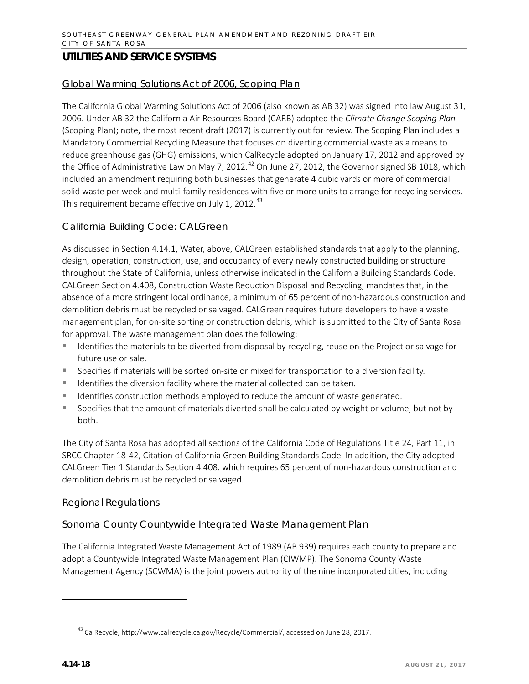#### Global Warming Solutions Act of 2006, Scoping Plan

The California Global Warming Solutions Act of 2006 (also known as AB 32) was signed into law August 31, 2006. Under AB 32 the California Air Resources Board (CARB) adopted the *Climate Change Scoping Plan* (Scoping Plan); note, the most recent draft (2017) is currently out for review. The Scoping Plan includes a Mandatory Commercial Recycling Measure that focuses on diverting commercial waste as a means to reduce greenhouse gas (GHG) emissions, which CalRecycle adopted on January 17, 2012 and approved by the Office of Administrative Law on May 7, 2012.<sup>[42](#page-17-0)</sup> On June 27, 2012, the Governor signed SB 1018, which included an amendment requiring both businesses that generate 4 cubic yards or more of commercial solid waste per week and multi-family residences with five or more units to arrange for recycling services. This requirement became effective on July 1, 2012. $43$ 

#### California Building Code: CALGreen

As discussed in Section 4.14.1, Water, above, CALGreen established standards that apply to the planning, design, operation, construction, use, and occupancy of every newly constructed building or structure throughout the State of California, unless otherwise indicated in the California Building Standards Code. CALGreen Section 4.408, Construction Waste Reduction Disposal and Recycling, mandates that, in the absence of a more stringent local ordinance, a minimum of 65 percent of non-hazardous construction and demolition debris must be recycled or salvaged. CALGreen requires future developers to have a waste management plan, for on-site sorting or construction debris, which is submitted to the City of Santa Rosa for approval. The waste management plan does the following:

- Identifies the materials to be diverted from disposal by recycling, reuse on the Project or salvage for future use or sale.
- **Specifies if materials will be sorted on-site or mixed for transportation to a diversion facility.**
- $\blacksquare$  Identifies the diversion facility where the material collected can be taken.
- Identifies construction methods employed to reduce the amount of waste generated.
- **Specifies that the amount of materials diverted shall be calculated by weight or volume, but not by** both.

The City of Santa Rosa has adopted all sections of the California Code of Regulations Title 24, Part 11, in SRCC Chapter 18-42, Citation of California Green Building Standards Code. In addition, the City adopted CALGreen Tier 1 Standards Section 4.408. which requires 65 percent of non-hazardous construction and demolition debris must be recycled or salvaged.

#### *Regional Regulations*

#### Sonoma County Countywide Integrated Waste Management Plan

The California Integrated Waste Management Act of 1989 (AB 939) requires each county to prepare and adopt a Countywide Integrated Waste Management Plan (CIWMP). The Sonoma County Waste Management Agency (SCWMA) is the joint powers authority of the nine incorporated cities, including

<span id="page-17-1"></span><span id="page-17-0"></span>l

<sup>&</sup>lt;sup>43</sup> CalRecycle[, http://www.calrecycle.ca.gov/Recycle/Commercial/,](http://www.calrecycle.ca.gov/Recycle/Commercial/) accessed on June 28, 2017.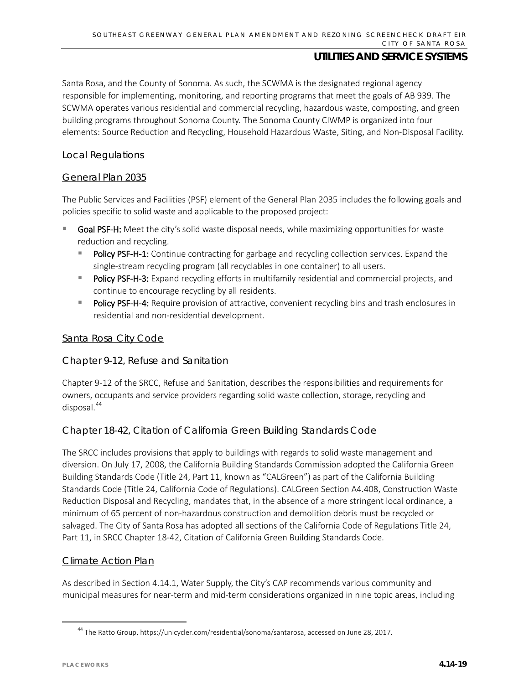Santa Rosa, and the County of Sonoma. As such, the SCWMA is the designated regional agency responsible for implementing, monitoring, and reporting programs that meet the goals of AB 939. The SCWMA operates various residential and commercial recycling, hazardous waste, composting, and green building programs throughout Sonoma County. The Sonoma County CIWMP is organized into four elements: Source Reduction and Recycling, Household Hazardous Waste, Siting, and Non-Disposal Facility.

#### *Local Regulations*

#### General Plan 2035

The Public Services and Facilities (PSF) element of the General Plan 2035 includes the following goals and policies specific to solid waste and applicable to the proposed project:

- Goal PSF-H: Meet the city's solid waste disposal needs, while maximizing opportunities for waste reduction and recycling.
	- Policy PSF-H-1: Continue contracting for garbage and recycling collection services. Expand the single-stream recycling program (all recyclables in one container) to all users.
	- **Policy PSF-H-3:** Expand recycling efforts in multifamily residential and commercial projects, and continue to encourage recycling by all residents.
	- Policy PSF-H-4: Require provision of attractive, convenient recycling bins and trash enclosures in residential and non-residential development.

#### Santa Rosa City Code

#### Chapter 9-12, Refuse and Sanitation

Chapter 9-12 of the SRCC, Refuse and Sanitation, describes the responsibilities and requirements for owners, occupants and service providers regarding solid waste collection, storage, recycling and disposal.[44](#page-18-0)

#### Chapter 18-42, Citation of California Green Building Standards Code

The SRCC includes provisions that apply to buildings with regards to solid waste management and diversion. On July 17, 2008, the California Building Standards Commission adopted the California Green Building Standards Code (Title 24, Part 11, known as "CALGreen") as part of the California Building Standards Code (Title 24, California Code of Regulations). CALGreen Section A4.408, Construction Waste Reduction Disposal and Recycling, mandates that, in the absence of a more stringent local ordinance, a minimum of 65 percent of non-hazardous construction and demolition debris must be recycled or salvaged. The City of Santa Rosa has adopted all sections of the California Code of Regulations Title 24, Part 11, in SRCC Chapter 18-42, Citation of California Green Building Standards Code.

#### Climate Action Plan

As described in Section 4.14.1, Water Supply, the City's CAP recommends various community and municipal measures for near-term and mid-term considerations organized in nine topic areas, including

<span id="page-18-0"></span><sup>&</sup>lt;sup>44</sup> The Ratto Group[, https://unicycler.com/residential/sonoma/santarosa,](https://unicycler.com/residential/sonoma/santarosa) accessed on June 28, 2017.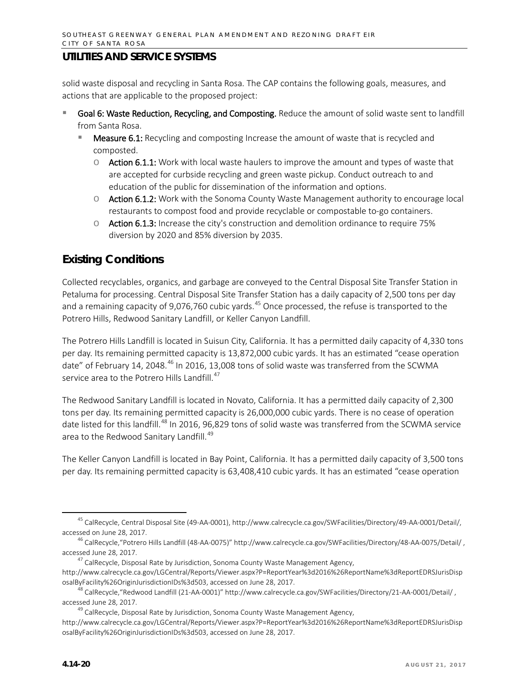solid waste disposal and recycling in Santa Rosa. The CAP contains the following goals, measures, and actions that are applicable to the proposed project:

- Goal 6: Waste Reduction, Recycling, and Composting. Reduce the amount of solid waste sent to landfill from Santa Rosa.
	- Measure 6.1: Recycling and composting Increase the amount of waste that is recycled and composted.
		- $\circ$  Action 6.1.1: Work with local waste haulers to improve the amount and types of waste that are accepted for curbside recycling and green waste pickup. Conduct outreach to and education of the public for dissemination of the information and options.
		- o Action 6.1.2: Work with the Sonoma County Waste Management authority to encourage local restaurants to compost food and provide recyclable or compostable to-go containers.
		- $\circ$  Action 6.1.3: Increase the city's construction and demolition ordinance to require 75% diversion by 2020 and 85% diversion by 2035.

## **Existing Conditions**

Collected recyclables, organics, and garbage are conveyed to the Central Disposal Site Transfer Station in Petaluma for processing. Central Disposal Site Transfer Station has a daily capacity of 2,500 tons per day and a remaining capacity of 9,076,760 cubic yards.<sup>[45](#page-19-0)</sup> Once processed, the refuse is transported to the Potrero Hills, Redwood Sanitary Landfill, or Keller Canyon Landfill.

The Potrero Hills Landfill is located in Suisun City, California. It has a permitted daily capacity of 4,330 tons per day. Its remaining permitted capacity is 13,872,000 cubic yards. It has an estimated "cease operation date" of February 14, 2048.<sup>[46](#page-19-1)</sup> In 2016, 13,008 tons of solid waste was transferred from the SCWMA service area to the Potrero Hills Landfill.<sup>[47](#page-19-2)</sup>

The Redwood Sanitary Landfill is located in Novato, California. It has a permitted daily capacity of 2,300 tons per day. Its remaining permitted capacity is 26,000,000 cubic yards. There is no cease of operation date listed for this landfill.<sup>[48](#page-19-3)</sup> In 2016, 96,829 tons of solid waste was transferred from the SCWMA service area to the Redwood Sanitary Landfill.<sup>[49](#page-19-4)</sup>

The Keller Canyon Landfill is located in Bay Point, California. It has a permitted daily capacity of 3,500 tons per day. Its remaining permitted capacity is 63,408,410 cubic yards. It has an estimated "cease operation

<span id="page-19-0"></span> <sup>45</sup> CalRecycle, Central Disposal Site (49-AA-0001), [http://www.calrecycle.ca.gov/SWFacilities/Directory/49-AA-0001/Detail/,](http://www.calrecycle.ca.gov/SWFacilities/Directory/49-AA-0001/Detail/)  accessed on June 28, 2017.

<span id="page-19-1"></span><sup>46</sup> CalRecycle,"Potrero Hills Landfill (48-AA-0075)" <http://www.calrecycle.ca.gov/SWFacilities/Directory/48-AA-0075/Detail/> , accessed June 28, 2017.

 $^{47}$  CalRecycle, Disposal Rate by Jurisdiction, Sonoma County Waste Management Agency,

<span id="page-19-2"></span>[http://www.calrecycle.ca.gov/LGCentral/Reports/Viewer.aspx?P=ReportYear%3d2016%26ReportName%3dReportEDRSJurisDisp](http://www.calrecycle.ca.gov/LGCentral/Reports/Viewer.aspx?P=ReportYear%3d2016%26ReportName%3dReportEDRSJurisDisposalByFacility%26OriginJurisdictionIDs%3d503) [osalByFacility%26OriginJurisdictionIDs%3d503,](http://www.calrecycle.ca.gov/LGCentral/Reports/Viewer.aspx?P=ReportYear%3d2016%26ReportName%3dReportEDRSJurisDisposalByFacility%26OriginJurisdictionIDs%3d503) accessed on June 28, 2017.

<span id="page-19-3"></span><sup>&</sup>lt;sup>48</sup> CalRecycle, "Redwood Landfill (21-AA-0001)" http://www.calrecycle.ca.gov/SWFacilities/Directory/21-AA-0001/Detail/, accessed June 28, 2017.

<sup>&</sup>lt;sup>49</sup> CalRecycle, Disposal Rate by Jurisdiction, Sonoma County Waste Management Agency,

<span id="page-19-4"></span>[http://www.calrecycle.ca.gov/LGCentral/Reports/Viewer.aspx?P=ReportYear%3d2016%26ReportName%3dReportEDRSJurisDisp](http://www.calrecycle.ca.gov/LGCentral/Reports/Viewer.aspx?P=ReportYear%3d2016%26ReportName%3dReportEDRSJurisDisposalByFacility%26OriginJurisdictionIDs%3d503) [osalByFacility%26OriginJurisdictionIDs%3d503,](http://www.calrecycle.ca.gov/LGCentral/Reports/Viewer.aspx?P=ReportYear%3d2016%26ReportName%3dReportEDRSJurisDisposalByFacility%26OriginJurisdictionIDs%3d503) accessed on June 28, 2017.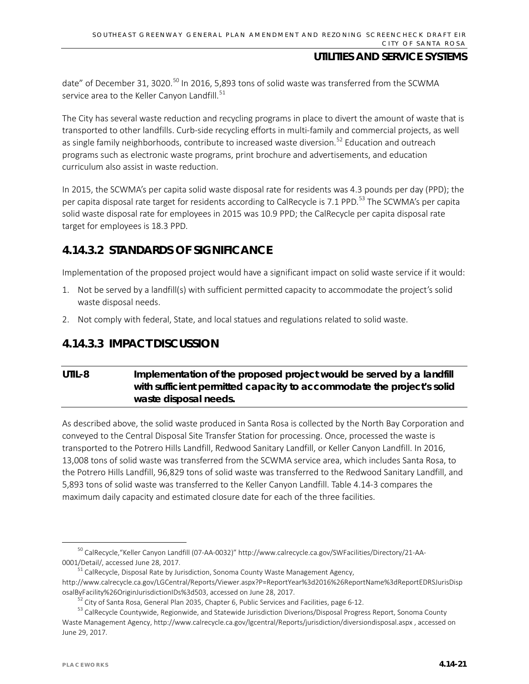date" of December 31, 3020.<sup>[50](#page-20-0)</sup> In 2016, 5,893 tons of solid waste was transferred from the SCWMA service area to the Keller Canyon Landfill.<sup>[51](#page-20-1)</sup>

The City has several waste reduction and recycling programs in place to divert the amount of waste that is transported to other landfills. Curb-side recycling efforts in multi-family and commercial projects, as well as single family neighborhoods, contribute to increased waste diversion.<sup>[52](#page-20-2)</sup> Education and outreach programs such as electronic waste programs, print brochure and advertisements, and education curriculum also assist in waste reduction.

In 2015, the SCWMA's per capita solid waste disposal rate for residents was 4.3 pounds per day (PPD); the per capita disposal rate target for residents according to CalRecycle is 7.1 PPD.<sup>[53](#page-20-3)</sup> The SCWMA's per capita solid waste disposal rate for employees in 2015 was 10.9 PPD; the CalRecycle per capita disposal rate target for employees is 18.3 PPD.

## **4.14.3.2 STANDARDS OF SIGNIFICANCE**

Implementation of the proposed project would have a significant impact on solid waste service if it would:

- 1. Not be served by a landfill(s) with sufficient permitted capacity to accommodate the project's solid waste disposal needs.
- 2. Not comply with federal, State, and local statues and regulations related to solid waste.

## **4.14.3.3 IMPACT DISCUSSION**

## **UTIL-8 Implementation of the proposed project would be served by a landfill with sufficient permitted capacity to accommodate the project's solid waste disposal needs.**

As described above, the solid waste produced in Santa Rosa is collected by the North Bay Corporation and conveyed to the Central Disposal Site Transfer Station for processing. Once, processed the waste is transported to the Potrero Hills Landfill, Redwood Sanitary Landfill, or Keller Canyon Landfill. In 2016, 13,008 tons of solid waste was transferred from the SCWMA service area, which includes Santa Rosa, to the Potrero Hills Landfill, 96,829 tons of solid waste was transferred to the Redwood Sanitary Landfill, and 5,893 tons of solid waste was transferred to the Keller Canyon Landfill. Table 4.14-3 compares the maximum daily capacity and estimated closure date for each of the three facilities.

<span id="page-20-0"></span> <sup>50</sup> CalRecycle,"Keller Canyon Landfill (07-AA-0032)" http://www.calrecycle.ca.gov/SWFacilities/Directory/21-AA-0001/Detail/, accessed June 28, 2017.

<sup>&</sup>lt;sup>51</sup> CalRecycle, Disposal Rate by Jurisdiction, Sonoma County Waste Management Agency,

<span id="page-20-1"></span>[http://www.calrecycle.ca.gov/LGCentral/Reports/Viewer.aspx?P=ReportYear%3d2016%26ReportName%3dReportEDRSJurisDisp](http://www.calrecycle.ca.gov/LGCentral/Reports/Viewer.aspx?P=ReportYear%3d2016%26ReportName%3dReportEDRSJurisDisposalByFacility%26OriginJurisdictionIDs%3d503) [osalByFacility%26OriginJurisdictionIDs%3d503,](http://www.calrecycle.ca.gov/LGCentral/Reports/Viewer.aspx?P=ReportYear%3d2016%26ReportName%3dReportEDRSJurisDisposalByFacility%26OriginJurisdictionIDs%3d503) accessed on June 28, 2017.

<sup>&</sup>lt;sup>52</sup> City of Santa Rosa, General Plan 2035, Chapter 6, Public Services and Facilities, page 6-12.

<span id="page-20-3"></span><span id="page-20-2"></span><sup>&</sup>lt;sup>53</sup> CalRecycle Countywide, Regionwide, and Statewide Jurisdiction Diverions/Disposal Progress Report, Sonoma County Waste Management Agency, http://www.calrecycle.ca.gov/lgcentral/Reports/jurisdiction/diversiondisposal.aspx , accessed on June 29, 2017.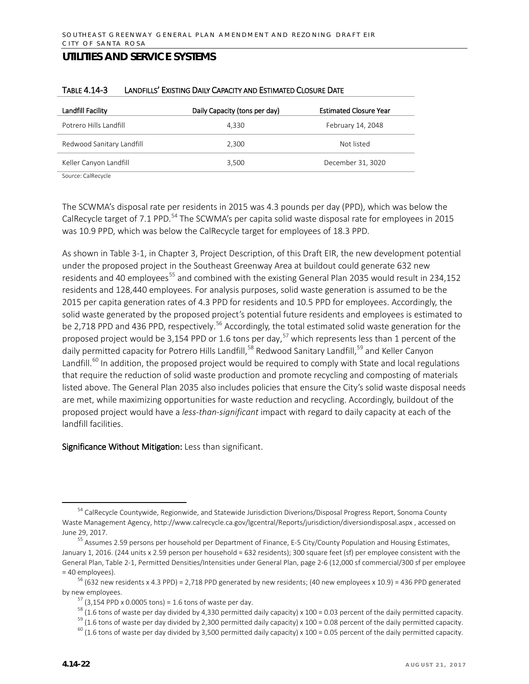| Landfill Facility                         | Daily Capacity (tons per day) | <b>Estimated Closure Year</b> |
|-------------------------------------------|-------------------------------|-------------------------------|
| Potrero Hills Landfill                    | 4.330                         | February 14, 2048             |
| Redwood Sanitary Landfill                 | 2.300                         | Not listed                    |
| Keller Canyon Landfill                    | 3,500                         | December 31, 3020             |
| $\sim$ $\sim$ $\sim$ $\sim$ $\sim$ $\sim$ |                               |                               |

#### TABLE 4.14-3 LANDFILLS' EXISTING DAILY CAPACITY AND ESTIMATED CLOSURE DATE

Source: CalRecycle

The SCWMA's disposal rate per residents in 2015 was 4.3 pounds per day (PPD), which was below the CalRecycle target of 7.1 PPD.<sup>[54](#page-21-0)</sup> The SCWMA's per capita solid waste disposal rate for employees in 2015 was 10.9 PPD, which was below the CalRecycle target for employees of 18.3 PPD.

As shown in Table 3-1, in Chapter 3, Project Description, of this Draft EIR, the new development potential under the proposed project in the Southeast Greenway Area at buildout could generate 632 new residents and 40 employees<sup>[55](#page-21-1)</sup> and combined with the existing General Plan 2035 would result in 234,152 residents and 128,440 employees. For analysis purposes, solid waste generation is assumed to be the 2015 per capita generation rates of 4.3 PPD for residents and 10.5 PPD for employees. Accordingly, the solid waste generated by the proposed project's potential future residents and employees is estimated to be 2,718 PPD and 436 PPD, respectively.<sup>[56](#page-21-2)</sup> Accordingly, the total estimated solid waste generation for the proposed project would be 3,154 PPD or 1.6 tons per day,<sup>[57](#page-21-3)</sup> which represents less than 1 percent of the daily permitted capacity for Potrero Hills Landfill,<sup>[58](#page-21-4)</sup> Redwood Sanitary Landfill,<sup>[59](#page-21-5)</sup> and Keller Canyon Landfill.<sup>[60](#page-21-6)</sup> In addition, the proposed project would be required to comply with State and local regulations that require the reduction of solid waste production and promote recycling and composting of materials listed above. The General Plan 2035 also includes policies that ensure the City's solid waste disposal needs are met, while maximizing opportunities for waste reduction and recycling. Accordingly, buildout of the proposed project would have a *less-than-significant* impact with regard to daily capacity at each of the landfill facilities.

Significance Without Mitigation: Less than significant.

<span id="page-21-0"></span><sup>&</sup>lt;sup>54</sup> CalRecycle Countywide, Regionwide, and Statewide Jurisdiction Diverions/Disposal Progress Report, Sonoma County Waste Management Agency, http://www.calrecycle.ca.gov/lgcentral/Reports/jurisdiction/diversiondisposal.aspx , accessed on June 29, 2017.

<span id="page-21-1"></span><sup>55</sup> Assumes 2.59 persons per household per Department of Finance, E-5 City/County Population and Housing Estimates, January 1, 2016. (244 units x 2.59 person per household = 632 residents); 300 square feet (sf) per employee consistent with the General Plan, Table 2-1, Permitted Densities/Intensities under General Plan, page 2-6 (12,000 sf commercial/300 sf per employee = 40 employees).

<span id="page-21-5"></span><span id="page-21-4"></span><span id="page-21-3"></span><span id="page-21-2"></span> $56$  (632 new residents x 4.3 PPD) = 2,718 PPD generated by new residents; (40 new employees x 10.9) = 436 PPD generated by new employees.

 $57$  (3,154 PPD x 0.0005 tons) = 1.6 tons of waste per day.

<sup>&</sup>lt;sup>58</sup> (1.6 tons of waste per day divided by 4,330 permitted daily capacity) x 100 = 0.03 percent of the daily permitted capacity.

 $59$  (1.6 tons of waste per day divided by 2,300 permitted daily capacity) x 100 = 0.08 percent of the daily permitted capacity.

<span id="page-21-6"></span> $^{60}$  (1.6 tons of waste per day divided by 3,500 permitted daily capacity) x 100 = 0.05 percent of the daily permitted capacity.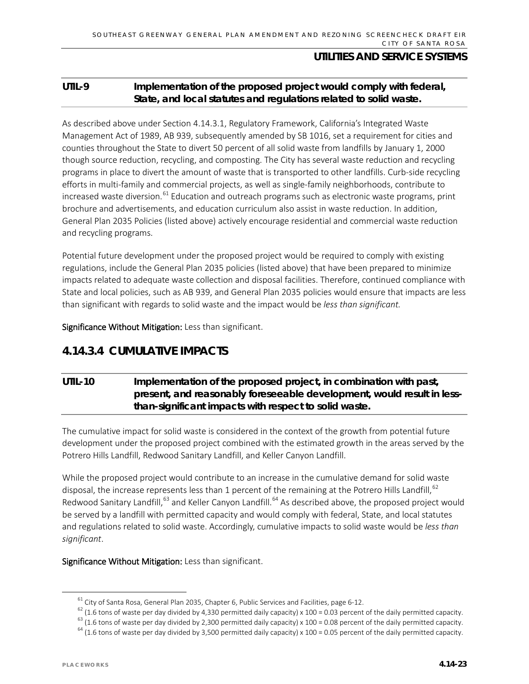## **UTIL-9 Implementation of the proposed project would comply with federal, State, and local statutes and regulations related to solid waste.**

As described above under Section 4.14.3.1, Regulatory Framework, California's Integrated Waste Management Act of 1989, AB 939, subsequently amended by SB 1016, set a requirement for cities and counties throughout the State to divert 50 percent of all solid waste from landfills by January 1, 2000 though source reduction, recycling, and composting. The City has several waste reduction and recycling programs in place to divert the amount of waste that is transported to other landfills. Curb-side recycling efforts in multi-family and commercial projects, as well as single-family neighborhoods, contribute to increased waste diversion.<sup>[61](#page-22-0)</sup> Education and outreach programs such as electronic waste programs, print brochure and advertisements, and education curriculum also assist in waste reduction. In addition, General Plan 2035 Policies (listed above) actively encourage residential and commercial waste reduction and recycling programs.

Potential future development under the proposed project would be required to comply with existing regulations, include the General Plan 2035 policies (listed above) that have been prepared to minimize impacts related to adequate waste collection and disposal facilities. Therefore, continued compliance with State and local policies, such as AB 939, and General Plan 2035 policies would ensure that impacts are less than significant with regards to solid waste and the impact would be *less than significant.*

Significance Without Mitigation: Less than significant.

## **4.14.3.4 CUMULATIVE IMPACTS**

## **UTIL-10 Implementation of the proposed project, in combination with past, present, and reasonably foreseeable development, would result in lessthan-significant impacts with respect to solid waste.**

The cumulative impact for solid waste is considered in the context of the growth from potential future development under the proposed project combined with the estimated growth in the areas served by the Potrero Hills Landfill, Redwood Sanitary Landfill, and Keller Canyon Landfill.

While the proposed project would contribute to an increase in the cumulative demand for solid waste disposal, the increase represents less than 1 percent of the remaining at the Potrero Hills Landfill,  $62$ Redwood Sanitary Landfill,<sup>[63](#page-22-2)</sup> and Keller Canyon Landfill.<sup>[64](#page-22-3)</sup> As described above, the proposed project would be served by a landfill with permitted capacity and would comply with federal, State, and local statutes and regulations related to solid waste. Accordingly, cumulative impacts to solid waste would be *less than significant*.

<span id="page-22-0"></span>Significance Without Mitigation: Less than significant.

 $61$  City of Santa Rosa, General Plan 2035, Chapter 6, Public Services and Facilities, page 6-12.

<span id="page-22-1"></span> $62$  (1.6 tons of waste per day divided by 4,330 permitted daily capacity) x 100 = 0.03 percent of the daily permitted capacity.

<span id="page-22-2"></span> $63$  (1.6 tons of waste per day divided by 2,300 permitted daily capacity) x 100 = 0.08 percent of the daily permitted capacity.

<span id="page-22-3"></span> $64$  (1.6 tons of waste per day divided by 3,500 permitted daily capacity) x 100 = 0.05 percent of the daily permitted capacity.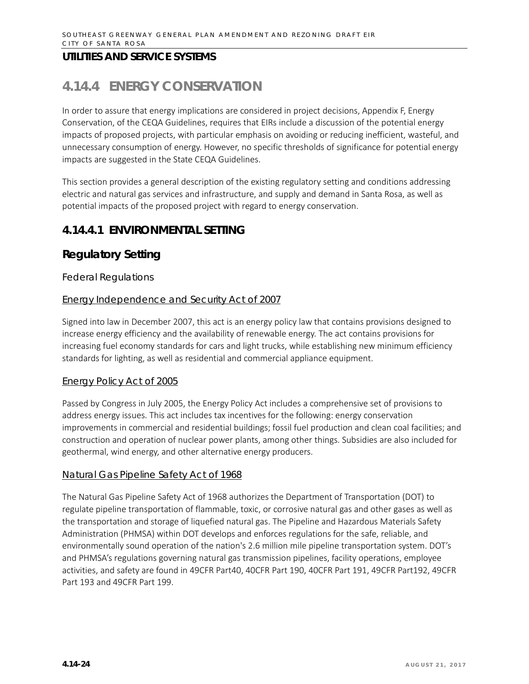# **4.14.4 ENERGY CONSERVATION**

In order to assure that energy implications are considered in project decisions, Appendix F, Energy Conservation, of the CEQA Guidelines, requires that EIRs include a discussion of the potential energy impacts of proposed projects, with particular emphasis on avoiding or reducing inefficient, wasteful, and unnecessary consumption of energy. However, no specific thresholds of significance for potential energy impacts are suggested in the State CEQA Guidelines.

This section provides a general description of the existing regulatory setting and conditions addressing electric and natural gas services and infrastructure, and supply and demand in Santa Rosa, as well as potential impacts of the proposed project with regard to energy conservation.

## **4.14.4.1 ENVIRONMENTAL SETTING**

## **Regulatory Setting**

#### *Federal Regulations*

#### Energy Independence and Security Act of 2007

Signed into law in December 2007, this act is an energy policy law that contains provisions designed to increase energy efficiency and the availability of renewable energy. The act contains provisions for increasing fuel economy standards for cars and light trucks, while establishing new minimum efficiency standards for lighting, as well as residential and commercial appliance equipment.

#### Energy Policy Act of 2005

Passed by Congress in July 2005, the Energy Policy Act includes a comprehensive set of provisions to address energy issues. This act includes tax incentives for the following: energy conservation improvements in commercial and residential buildings; fossil fuel production and clean coal facilities; and construction and operation of nuclear power plants, among other things. Subsidies are also included for geothermal, wind energy, and other alternative energy producers.

#### Natural Gas Pipeline Safety Act of 1968

The Natural Gas Pipeline Safety Act of 1968 authorizes the Department of Transportation (DOT) to regulate pipeline transportation of flammable, toxic, or corrosive natural gas and other gases as well as the transportation and storage of liquefied natural gas. The Pipeline and Hazardous Materials Safety Administration (PHMSA) within DOT develops and enforces regulations for the safe, reliable, and environmentally sound operation of the nation's 2.6 million mile pipeline transportation system. DOT's and PHMSA's regulations governing natural gas transmission pipelines, facility operations, employee activities, and safety are found in 49CFR Part40, 40CFR Part 190, 40CFR Part 191, 49CFR Part192, 49CFR Part 193 and 49CFR Part 199.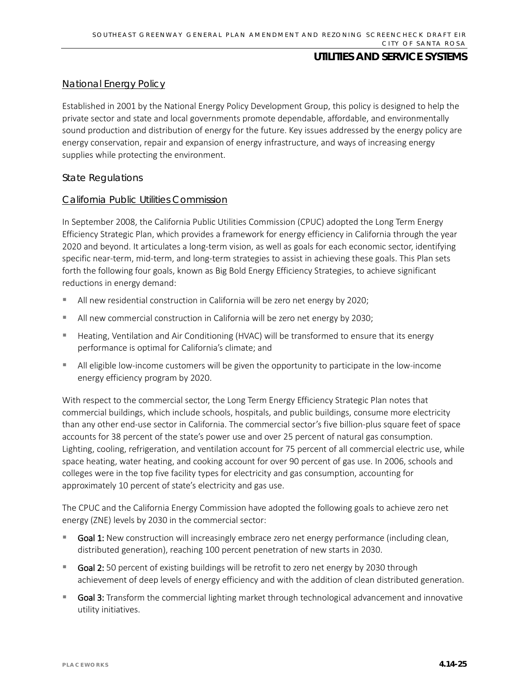#### National Energy Policy

Established in 2001 by the National Energy Policy Development Group, this policy is designed to help the private sector and state and local governments promote dependable, affordable, and environmentally sound production and distribution of energy for the future. Key issues addressed by the energy policy are energy conservation, repair and expansion of energy infrastructure, and ways of increasing energy supplies while protecting the environment.

#### *State Regulations*

#### California Public Utilities Commission

In September 2008, the California Public Utilities Commission (CPUC) adopted the Long Term Energy Efficiency Strategic Plan, which provides a framework for energy efficiency in California through the year 2020 and beyond. It articulates a long-term vision, as well as goals for each economic sector, identifying specific near-term, mid-term, and long-term strategies to assist in achieving these goals. This Plan sets forth the following four goals, known as Big Bold Energy Efficiency Strategies, to achieve significant reductions in energy demand:

- All new residential construction in California will be zero net energy by 2020;
- All new commercial construction in California will be zero net energy by 2030;
- Heating, Ventilation and Air Conditioning (HVAC) will be transformed to ensure that its energy performance is optimal for California's climate; and
- All eligible low-income customers will be given the opportunity to participate in the low-income energy efficiency program by 2020.

With respect to the commercial sector, the Long Term Energy Efficiency Strategic Plan notes that commercial buildings, which include schools, hospitals, and public buildings, consume more electricity than any other end-use sector in California. The commercial sector's five billion-plus square feet of space accounts for 38 percent of the state's power use and over 25 percent of natural gas consumption. Lighting, cooling, refrigeration, and ventilation account for 75 percent of all commercial electric use, while space heating, water heating, and cooking account for over 90 percent of gas use. In 2006, schools and colleges were in the top five facility types for electricity and gas consumption, accounting for approximately 10 percent of state's electricity and gas use.

The CPUC and the California Energy Commission have adopted the following goals to achieve zero net energy (ZNE) levels by 2030 in the commercial sector:

- Goal 1: New construction will increasingly embrace zero net energy performance (including clean, distributed generation), reaching 100 percent penetration of new starts in 2030.
- Goal 2: 50 percent of existing buildings will be retrofit to zero net energy by 2030 through achievement of deep levels of energy efficiency and with the addition of clean distributed generation.
- Goal 3: Transform the commercial lighting market through technological advancement and innovative utility initiatives.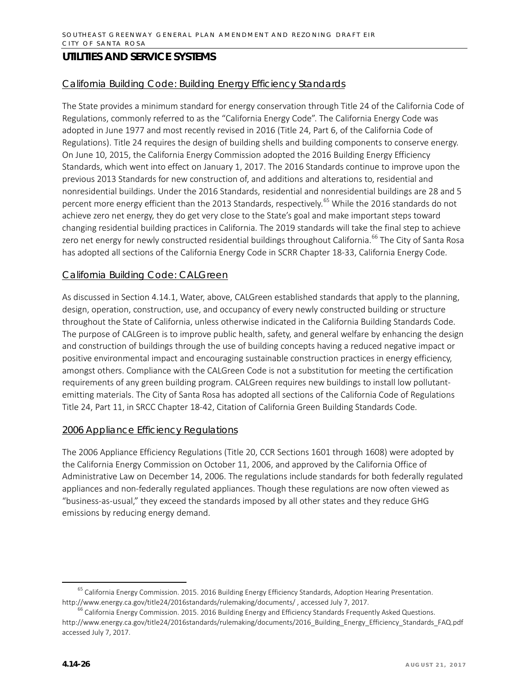#### California Building Code: Building Energy Efficiency Standards

The State provides a minimum standard for energy conservation through Title 24 of the California Code of Regulations, commonly referred to as the "California Energy Code". The California Energy Code was adopted in June 1977 and most recently revised in 2016 (Title 24, Part 6, of the California Code of Regulations). Title 24 requires the design of building shells and building components to conserve energy. On June 10, 2015, the California Energy Commission adopted the 2016 Building Energy Efficiency Standards, which went into effect on January 1, 2017. The 2016 Standards continue to improve upon the previous 2013 Standards for new construction of, and additions and alterations to, residential and nonresidential buildings. Under the 2016 Standards, residential and nonresidential buildings are 28 and 5 percent more energy efficient than the 2013 Standards, respectively.<sup>[65](#page-25-0)</sup> While the 2016 standards do not achieve zero net energy, they do get very close to the State's goal and make important steps toward changing residential building practices in California. The 2019 standards will take the final step to achieve zero net energy for newly constructed residential buildings throughout California.<sup>[66](#page-25-1)</sup> The City of Santa Rosa has adopted all sections of the California Energy Code in SCRR Chapter 18-33, California Energy Code.

#### California Building Code: CALGreen

As discussed in Section 4.14.1, Water, above, CALGreen established standards that apply to the planning, design, operation, construction, use, and occupancy of every newly constructed building or structure throughout the State of California, unless otherwise indicated in the California Building Standards Code. The purpose of CALGreen is to improve public health, safety, and general welfare by enhancing the design and construction of buildings through the use of building concepts having a reduced negative impact or positive environmental impact and encouraging sustainable construction practices in energy efficiency, amongst others. Compliance with the CALGreen Code is not a substitution for meeting the certification requirements of any green building program. CALGreen requires new buildings to install low pollutantemitting materials. The City of Santa Rosa has adopted all sections of the California Code of Regulations Title 24, Part 11, in SRCC Chapter 18-42, Citation of California Green Building Standards Code.

#### 2006 Appliance Efficiency Regulations

The 2006 Appliance Efficiency Regulations (Title 20, CCR Sections 1601 through 1608) were adopted by the California Energy Commission on October 11, 2006, and approved by the California Office of Administrative Law on December 14, 2006. The regulations include standards for both federally regulated appliances and non-federally regulated appliances. Though these regulations are now often viewed as "business-as-usual," they exceed the standards imposed by all other states and they reduce GHG emissions by reducing energy demand.

<span id="page-25-0"></span><sup>&</sup>lt;sup>65</sup> California Energy Commission. 2015. 2016 Building Energy Efficiency Standards, Adoption Hearing Presentation. http://www.energy.ca.gov/title24/2016standards/rulemaking/documents/ , accessed July 7, 2017.

<span id="page-25-1"></span> $^6$  California Energy Commission. 2015. 2016 Building Energy and Efficiency Standards Frequently Asked Questions. [http://www.energy.ca.gov/title24/2016standards/rulemaking/documents/2016\\_Building\\_Energy\\_Efficiency\\_Standards\\_FAQ.pdf](http://www.energy.ca.gov/title24/2016standards/rulemaking/documents/2016_Building_Energy_Efficiency_Standards_FAQ.pdf) accessed July 7, 2017.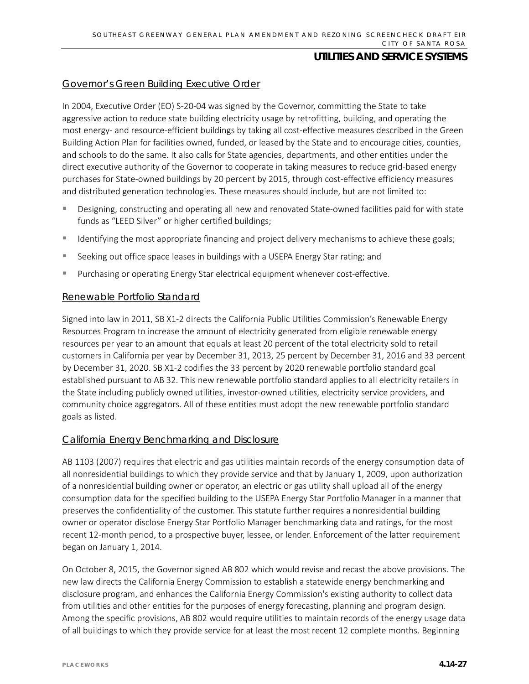#### Governor's Green Building Executive Order

In 2004, Executive Order (EO) S-20-04 was signed by the Governor, committing the State to take aggressive action to reduce state building electricity usage by retrofitting, building, and operating the most energy- and resource-efficient buildings by taking all cost-effective measures described in the Green Building Action Plan for facilities owned, funded, or leased by the State and to encourage cities, counties, and schools to do the same. It also calls for State agencies, departments, and other entities under the direct executive authority of the Governor to cooperate in taking measures to reduce grid-based energy purchases for State-owned buildings by 20 percent by 2015, through cost-effective efficiency measures and distributed generation technologies. These measures should include, but are not limited to:

- Designing, constructing and operating all new and renovated State-owned facilities paid for with state funds as "LEED Silver" or higher certified buildings;
- **If all identifying the most appropriate financing and project delivery mechanisms to achieve these goals;**
- **Seeking out office space leases in buildings with a USEPA Energy Star rating; and**
- Purchasing or operating Energy Star electrical equipment whenever cost-effective.

#### Renewable Portfolio Standard

Signed into law in 2011, SB X1-2 directs the California Public Utilities Commission's Renewable Energy Resources Program to increase the amount of electricity generated from eligible renewable energy resources per year to an amount that equals at least 20 percent of the total electricity sold to retail customers in California per year by December 31, 2013, 25 percent by December 31, 2016 and 33 percent by December 31, 2020. SB X1-2 codifies the 33 percent by 2020 renewable portfolio standard goal established pursuant to AB 32. This new renewable portfolio standard applies to all electricity retailers in the State including publicly owned utilities, investor-owned utilities, electricity service providers, and community choice aggregators. All of these entities must adopt the new renewable portfolio standard goals as listed.

#### California Energy Benchmarking and Disclosure

AB 1103 (2007) requires that electric and gas utilities maintain records of the energy consumption data of all nonresidential buildings to which they provide service and that by January 1, 2009, upon authorization of a nonresidential building owner or operator, an electric or gas utility shall upload all of the energy consumption data for the specified building to the USEPA Energy Star Portfolio Manager in a manner that preserves the confidentiality of the customer. This statute further requires a nonresidential building owner or operator disclose Energy Star Portfolio Manager benchmarking data and ratings, for the most recent 12-month period, to a prospective buyer, lessee, or lender. Enforcement of the latter requirement began on January 1, 2014.

On October 8, 2015, the Governor signed AB 802 which would revise and recast the above provisions. The new law directs the California Energy Commission to establish a statewide energy benchmarking and disclosure program, and enhances the California Energy Commission's existing authority to collect data from utilities and other entities for the purposes of energy forecasting, planning and program design. Among the specific provisions, AB 802 would require utilities to maintain records of the energy usage data of all buildings to which they provide service for at least the most recent 12 complete months. Beginning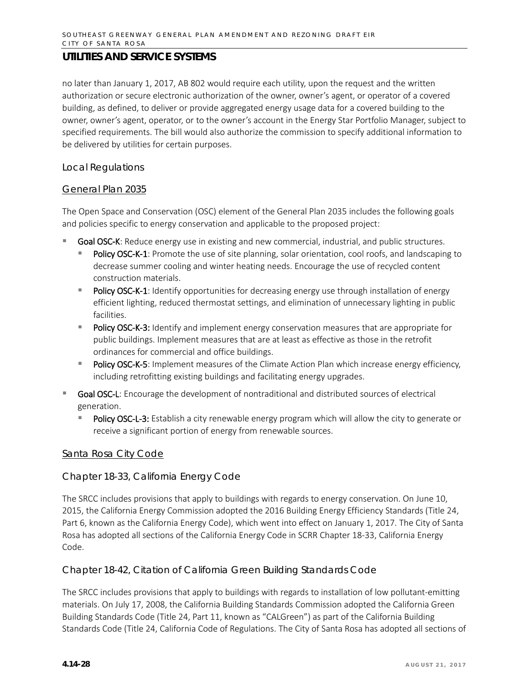no later than January 1, 2017, AB 802 would require each utility, upon the request and the written authorization or secure electronic authorization of the owner, owner's agent, or operator of a covered building, as defined, to deliver or provide aggregated energy usage data for a covered building to the owner, owner's agent, operator, or to the owner's account in the Energy Star Portfolio Manager, subject to specified requirements. The bill would also authorize the commission to specify additional information to be delivered by utilities for certain purposes.

#### *Local Regulations*

#### General Plan 2035

The Open Space and Conservation (OSC) element of the General Plan 2035 includes the following goals and policies specific to energy conservation and applicable to the proposed project:

- Goal OSC-K: Reduce energy use in existing and new commercial, industrial, and public structures.
	- Policy OSC-K-1: Promote the use of site planning, solar orientation, cool roofs, and landscaping to decrease summer cooling and winter heating needs. Encourage the use of recycled content construction materials.
	- Policy OSC-K-1: Identify opportunities for decreasing energy use through installation of energy efficient lighting, reduced thermostat settings, and elimination of unnecessary lighting in public facilities.
	- Policy OSC-K-3: Identify and implement energy conservation measures that are appropriate for public buildings. Implement measures that are at least as effective as those in the retrofit ordinances for commercial and office buildings.
	- **Policy OSC-K-5:** Implement measures of the Climate Action Plan which increase energy efficiency, including retrofitting existing buildings and facilitating energy upgrades.
- Goal OSC-L: Encourage the development of nontraditional and distributed sources of electrical generation.
	- Policy OSC-L-3: Establish a city renewable energy program which will allow the city to generate or receive a significant portion of energy from renewable sources.

#### Santa Rosa City Code

#### Chapter 18-33, California Energy Code

The SRCC includes provisions that apply to buildings with regards to energy conservation. On June 10, 2015, the California Energy Commission adopted the 2016 Building Energy Efficiency Standards (Title 24, Part 6, known as the California Energy Code), which went into effect on January 1, 2017. The City of Santa Rosa has adopted all sections of the California Energy Code in SCRR Chapter 18-33, California Energy Code.

#### Chapter 18-42, Citation of California Green Building Standards Code

The SRCC includes provisions that apply to buildings with regards to installation of low pollutant-emitting materials. On July 17, 2008, the California Building Standards Commission adopted the California Green Building Standards Code (Title 24, Part 11, known as "CALGreen") as part of the California Building Standards Code (Title 24, California Code of Regulations. The City of Santa Rosa has adopted all sections of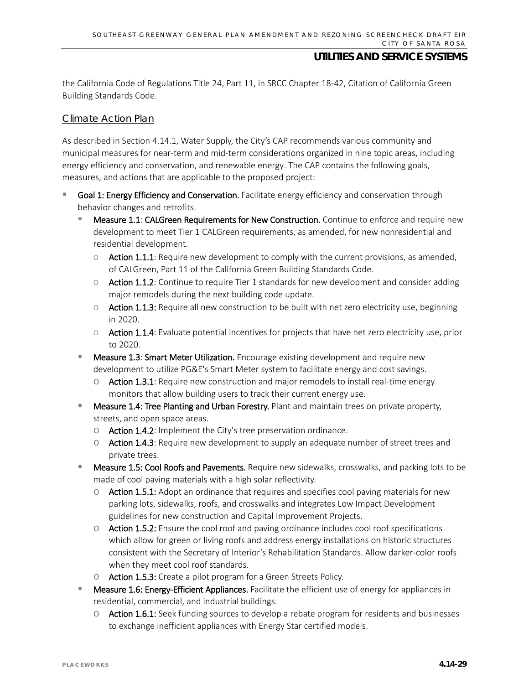the California Code of Regulations Title 24, Part 11, in SRCC Chapter 18-42, Citation of California Green Building Standards Code.

#### Climate Action Plan

As described in Section 4.14.1, Water Supply, the City's CAP recommends various community and municipal measures for near-term and mid-term considerations organized in nine topic areas, including energy efficiency and conservation, and renewable energy. The CAP contains the following goals, measures, and actions that are applicable to the proposed project:

- Goal 1: Energy Efficiency and Conservation. Facilitate energy efficiency and conservation through behavior changes and retrofits.
	- Measure 1.1: CALGreen Requirements for New Construction. Continue to enforce and require new development to meet Tier 1 CALGreen requirements, as amended, for new nonresidential and residential development.
		- $\circ$  Action 1.1.1: Require new development to comply with the current provisions, as amended, of CALGreen, Part 11 of the California Green Building Standards Code.
		- o Action 1.1.2: Continue to require Tier 1 standards for new development and consider adding major remodels during the next building code update.
		- $\circ$  Action 1.1.3: Require all new construction to be built with net zero electricity use, beginning in 2020.
		- o Action 1.1.4: Evaluate potential incentives for projects that have net zero electricity use, prior to 2020.
	- Measure 1.3: Smart Meter Utilization. Encourage existing development and require new development to utilize PG&E's Smart Meter system to facilitate energy and cost savings.
		- $\circ$  Action 1.3.1: Require new construction and major remodels to install real-time energy monitors that allow building users to track their current energy use.
	- Measure 1.4: Tree Planting and Urban Forestry. Plant and maintain trees on private property, streets, and open space areas.
		- o Action 1.4.2: Implement the City's tree preservation ordinance.
		- $\circ$  Action 1.4.3: Require new development to supply an adequate number of street trees and private trees.
	- Measure 1.5: Cool Roofs and Pavements. Require new sidewalks, crosswalks, and parking lots to be made of cool paving materials with a high solar reflectivity.
		- $\circ$  Action 1.5.1: Adopt an ordinance that requires and specifies cool paving materials for new parking lots, sidewalks, roofs, and crosswalks and integrates Low Impact Development guidelines for new construction and Capital Improvement Projects.
		- $\circ$  Action 1.5.2: Ensure the cool roof and paving ordinance includes cool roof specifications which allow for green or living roofs and address energy installations on historic structures consistent with the Secretary of Interior's Rehabilitation Standards. Allow darker-color roofs when they meet cool roof standards.
		- o Action 1.5.3: Create a pilot program for a Green Streets Policy.
	- Measure 1.6: Energy-Efficient Appliances. Facilitate the efficient use of energy for appliances in residential, commercial, and industrial buildings.
		- $\circ$  Action 1.6.1: Seek funding sources to develop a rebate program for residents and businesses to exchange inefficient appliances with Energy Star certified models.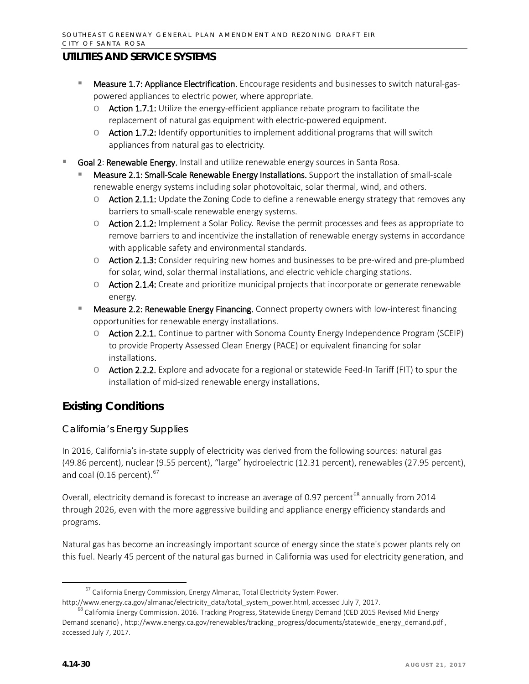- **Measure 1.7: Appliance Electrification.** Encourage residents and businesses to switch natural-gaspowered appliances to electric power, where appropriate.
	- $\circ$  Action 1.7.1: Utilize the energy-efficient appliance rebate program to facilitate the replacement of natural gas equipment with electric-powered equipment.
	- $\circ$  Action 1.7.2: Identify opportunities to implement additional programs that will switch appliances from natural gas to electricity.
- Goal 2: Renewable Energy. Install and utilize renewable energy sources in Santa Rosa.
	- Measure 2.1: Small-Scale Renewable Energy Installations. Support the installation of small-scale renewable energy systems including solar photovoltaic, solar thermal, wind, and others.
		- $\circ$  Action 2.1.1: Update the Zoning Code to define a renewable energy strategy that removes any barriers to small-scale renewable energy systems.
		- o Action 2.1.2: Implement a Solar Policy. Revise the permit processes and fees as appropriate to remove barriers to and incentivize the installation of renewable energy systems in accordance with applicable safety and environmental standards.
		- o Action 2.1.3: Consider requiring new homes and businesses to be pre-wired and pre-plumbed for solar, wind, solar thermal installations, and electric vehicle charging stations.
		- $\circ$  Action 2.1.4: Create and prioritize municipal projects that incorporate or generate renewable energy.
	- Measure 2.2: Renewable Energy Financing. Connect property owners with low-interest financing opportunities for renewable energy installations.
		- o Action 2.2.1. Continue to partner with Sonoma County Energy Independence Program (SCEIP) to provide Property Assessed Clean Energy (PACE) or equivalent financing for solar installations.
		- o Action 2.2.2. Explore and advocate for a regional or statewide Feed-In Tariff (FIT) to spur the installation of mid-sized renewable energy installations.

# **Existing Conditions**

## *California's Energy Supplies*

In 2016, California's in-state supply of electricity was derived from the following sources: natural gas (49.86 percent), nuclear (9.55 percent), "large" hydroelectric (12.31 percent), renewables (27.95 percent), and coal (0.16 percent). $67$ 

Overall, electricity demand is forecast to increase an average of 0.97 percent<sup>[68](#page-29-1)</sup> annually from 2014 through 2026, even with the more aggressive building and appliance energy efficiency standards and programs.

Natural gas has become an increasingly important source of energy since the state's power plants rely on this fuel. Nearly 45 percent of the natural gas burned in California was used for electricity generation, and

<sup>&</sup>lt;sup>67</sup> California Energy Commission, Energy Almanac, Total Electricity System Power.

<span id="page-29-0"></span>[http://www.energy.ca.gov/almanac/electricity\\_data/total\\_system\\_power.html,](http://www.energy.ca.gov/almanac/electricity_data/total_system_power.html) accessed July 7, 2017.

<span id="page-29-1"></span> $^8$  California Energy Commission. 2016. Tracking Progress, Statewide Energy Demand (CED 2015 Revised Mid Energy Demand scenario) [, http://www.energy.ca.gov/renewables/tracking\\_progress/documents/statewide\\_energy\\_demand.pdf](http://www.energy.ca.gov/renewables/tracking_progress/documents/statewide_energy_demand.pdf) , accessed July 7, 2017.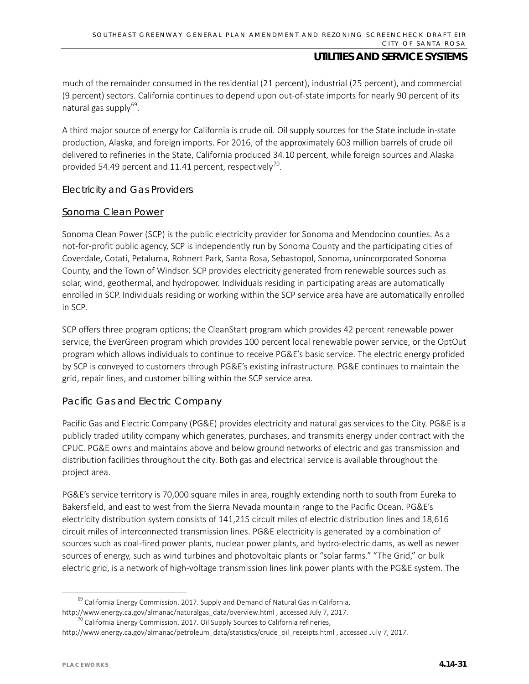much of the remainder consumed in the residential (21 percent), industrial (25 percent), and commercial (9 percent) sectors. California continues to depend upon out-of-state imports for nearly 90 percent of its natural gas supply $69$ .

A third major source of energy for California is crude oil. Oil supply sources for the State include in-state production, Alaska, and foreign imports. For 2016, of the approximately 603 million barrels of crude oil delivered to refineries in the State, California produced 34.10 percent, while foreign sources and Alaska provided 54.49 percent and 11.41 percent, respectively<sup>70</sup>.

#### *Electricity and Gas Providers*

#### Sonoma Clean Power

Sonoma Clean Power (SCP) is the public electricity provider for Sonoma and Mendocino counties. As a not-for-profit public agency, SCP is independently run by Sonoma County and the participating cities of Coverdale, Cotati, Petaluma, Rohnert Park, Santa Rosa, Sebastopol, Sonoma, unincorporated Sonoma County, and the Town of Windsor. SCP provides electricity generated from renewable sources such as solar, wind, geothermal, and hydropower. Individuals residing in participating areas are automatically enrolled in SCP. Individuals residing or working within the SCP service area have are automatically enrolled in SCP.

SCP offers three program options; the CleanStart program which provides 42 percent renewable power service, the EverGreen program which provides 100 percent local renewable power service, or the OptOut program which allows individuals to continue to receive PG&E's basic service. The electric energy profided by SCP is conveyed to customers through PG&E's existing infrastructure. PG&E continues to maintain the grid, repair lines, and customer billing within the SCP service area.

#### Pacific Gas and Electric Company

Pacific Gas and Electric Company (PG&E) provides electricity and natural gas services to the City. PG&E is a publicly traded utility company which generates, purchases, and transmits energy under contract with the CPUC. PG&E owns and maintains above and below ground networks of electric and gas transmission and distribution facilities throughout the city. Both gas and electrical service is available throughout the project area.

PG&E's service territory is 70,000 square miles in area, roughly extending north to south from Eureka to Bakersfield, and east to west from the Sierra Nevada mountain range to the Pacific Ocean. PG&E's electricity distribution system consists of 141,215 circuit miles of electric distribution lines and 18,616 circuit miles of interconnected transmission lines. PG&E electricity is generated by a combination of sources such as coal-fired power plants, nuclear power plants, and hydro-electric dams, as well as newer sources of energy, such as wind turbines and photovoltaic plants or "solar farms." "The Grid," or bulk electric grid, is a network of high-voltage transmission lines link power plants with the PG&E system. The

<span id="page-30-0"></span> $69$  California Energy Commission. 2017. Supply and Demand of Natural Gas in California,

http://www.energy.ca.gov/almanac/naturalgas\_data/overview.html [,](http://www.energy.ca.gov/almanac/naturalgas_data/overview.html) accessed July 7, 2017.<br><sup>[70](http://www.energy.ca.gov/almanac/naturalgas_data/overview.html)</sup> California Energy Commission. 2017. Oil Supply Sources to California refineries,

<span id="page-30-1"></span>[http://www.energy.ca.gov/almanac/petroleum\\_data/statistics/crude\\_oil\\_receipts.html](http://www.energy.ca.gov/almanac/petroleum_data/statistics/crude_oil_receipts.html) , accessed July 7, 2017.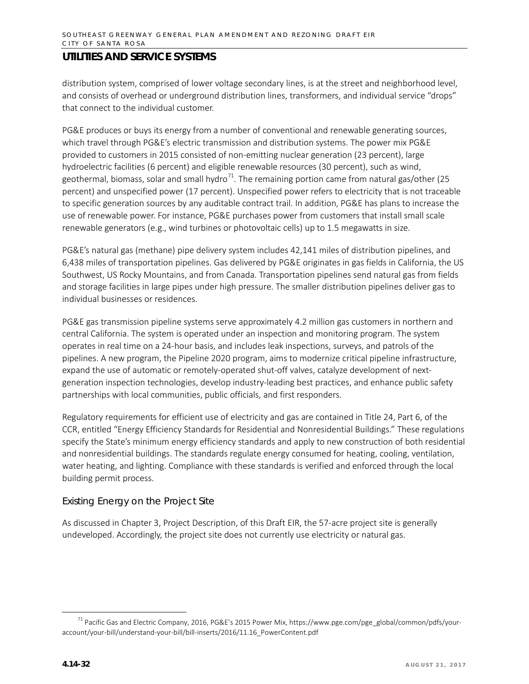distribution system, comprised of lower voltage secondary lines, is at the street and neighborhood level, and consists of overhead or underground distribution lines, transformers, and individual service "drops" that connect to the individual customer.

PG&E produces or buys its energy from a number of conventional and renewable generating sources, which travel through PG&E's electric transmission and distribution systems. The power mix PG&E provided to customers in 2015 consisted of non-emitting nuclear generation (23 percent), large hydroelectric facilities (6 percent) and eligible renewable resources (30 percent), such as wind, geothermal, biomass, solar and small hydro<sup>71</sup>. The remaining portion came from natural gas/other (25 percent) and unspecified power (17 percent). Unspecified power refers to electricity that is not traceable to specific generation sources by any auditable contract trail. In addition, PG&E has plans to increase the use of renewable power. For instance, PG&E purchases power from customers that install small scale renewable generators (e.g., wind turbines or photovoltaic cells) up to 1.5 megawatts in size.

PG&E's natural gas (methane) pipe delivery system includes 42,141 miles of distribution pipelines, and 6,438 miles of transportation pipelines. Gas delivered by PG&E originates in gas fields in California, the US Southwest, US Rocky Mountains, and from Canada. Transportation pipelines send natural gas from fields and storage facilities in large pipes under high pressure. The smaller distribution pipelines deliver gas to individual businesses or residences.

PG&E gas transmission pipeline systems serve approximately 4.2 million gas customers in northern and central California. The system is operated under an inspection and monitoring program. The system operates in real time on a 24-hour basis, and includes leak inspections, surveys, and patrols of the pipelines. A new program, the Pipeline 2020 program, aims to modernize critical pipeline infrastructure, expand the use of automatic or remotely-operated shut-off valves, catalyze development of nextgeneration inspection technologies, develop industry-leading best practices, and enhance public safety partnerships with local communities, public officials, and first responders.

Regulatory requirements for efficient use of electricity and gas are contained in Title 24, Part 6, of the CCR, entitled "Energy Efficiency Standards for Residential and Nonresidential Buildings." These regulations specify the State's minimum energy efficiency standards and apply to new construction of both residential and nonresidential buildings. The standards regulate energy consumed for heating, cooling, ventilation, water heating, and lighting. Compliance with these standards is verified and enforced through the local building permit process.

#### *Existing Energy on the Project Site*

As discussed in Chapter 3, Project Description, of this Draft EIR, the 57-acre project site is generally undeveloped. Accordingly, the project site does not currently use electricity or natural gas.

<span id="page-31-0"></span><sup>&</sup>lt;sup>71</sup> Pacific Gas and Electric Company, 2016, PG&E's 2015 Power Mix, https://www.pge.com/pge\_global/common/pdfs/youraccount/your-bill/understand-your-bill/bill-inserts/2016/11.16\_PowerContent.pdf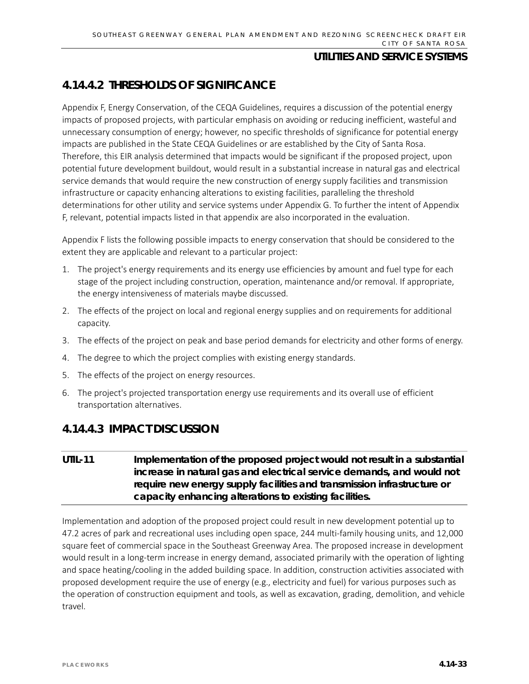# **4.14.4.2 THRESHOLDS OF SIGNIFICANCE**

Appendix F, Energy Conservation, of the CEQA Guidelines, requires a discussion of the potential energy impacts of proposed projects, with particular emphasis on avoiding or reducing inefficient, wasteful and unnecessary consumption of energy; however, no specific thresholds of significance for potential energy impacts are published in the State CEQA Guidelines or are established by the City of Santa Rosa. Therefore, this EIR analysis determined that impacts would be significant if the proposed project, upon potential future development buildout, would result in a substantial increase in natural gas and electrical service demands that would require the new construction of energy supply facilities and transmission infrastructure or capacity enhancing alterations to existing facilities, paralleling the threshold determinations for other utility and service systems under Appendix G. To further the intent of Appendix F, relevant, potential impacts listed in that appendix are also incorporated in the evaluation.

Appendix F lists the following possible impacts to energy conservation that should be considered to the extent they are applicable and relevant to a particular project:

- 1. The project's energy requirements and its energy use efficiencies by amount and fuel type for each stage of the project including construction, operation, maintenance and/or removal. If appropriate, the energy intensiveness of materials maybe discussed.
- 2. The effects of the project on local and regional energy supplies and on requirements for additional capacity.
- 3. The effects of the project on peak and base period demands for electricity and other forms of energy.
- 4. The degree to which the project complies with existing energy standards.
- 5. The effects of the project on energy resources.
- 6. The project's projected transportation energy use requirements and its overall use of efficient transportation alternatives.

## **4.14.4.3 IMPACT DISCUSSION**

## **UTIL-11 Implementation of the proposed project would not result in a substantial increase in natural gas and electrical service demands, and would not require new energy supply facilities and transmission infrastructure or capacity enhancing alterations to existing facilities.**

Implementation and adoption of the proposed project could result in new development potential up to 47.2 acres of park and recreational uses including open space, 244 multi-family housing units, and 12,000 square feet of commercial space in the Southeast Greenway Area. The proposed increase in development would result in a long-term increase in energy demand, associated primarily with the operation of lighting and space heating/cooling in the added building space. In addition, construction activities associated with proposed development require the use of energy (e.g., electricity and fuel) for various purposes such as the operation of construction equipment and tools, as well as excavation, grading, demolition, and vehicle travel.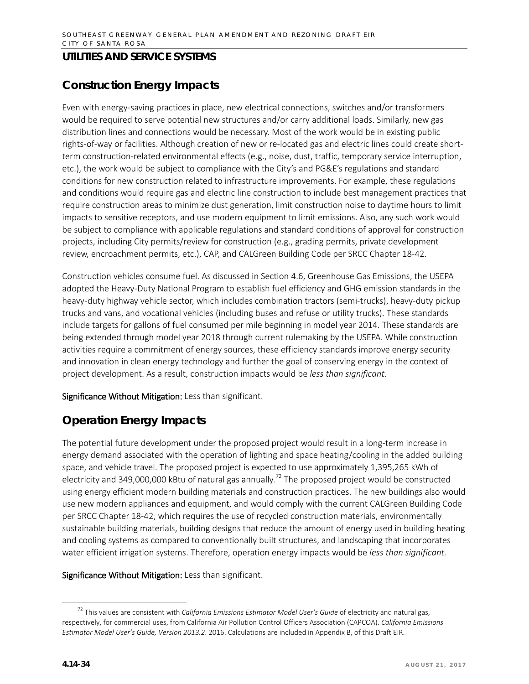# **Construction Energy Impacts**

Even with energy-saving practices in place, new electrical connections, switches and/or transformers would be required to serve potential new structures and/or carry additional loads. Similarly, new gas distribution lines and connections would be necessary. Most of the work would be in existing public rights-of-way or facilities. Although creation of new or re-located gas and electric lines could create shortterm construction-related environmental effects (e.g., noise, dust, traffic, temporary service interruption, etc.), the work would be subject to compliance with the City's and PG&E's regulations and standard conditions for new construction related to infrastructure improvements. For example, these regulations and conditions would require gas and electric line construction to include best management practices that require construction areas to minimize dust generation, limit construction noise to daytime hours to limit impacts to sensitive receptors, and use modern equipment to limit emissions. Also, any such work would be subject to compliance with applicable regulations and standard conditions of approval for construction projects, including City permits/review for construction (e.g., grading permits, private development review, encroachment permits, etc.), CAP, and CALGreen Building Code per SRCC Chapter 18-42.

Construction vehicles consume fuel. As discussed in Section 4.6, Greenhouse Gas Emissions, the USEPA adopted the Heavy-Duty National Program to establish fuel efficiency and GHG emission standards in the heavy-duty highway vehicle sector, which includes combination tractors (semi-trucks), heavy-duty pickup trucks and vans, and vocational vehicles (including buses and refuse or utility trucks). These standards include targets for gallons of fuel consumed per mile beginning in model year 2014. These standards are being extended through model year 2018 through current rulemaking by the USEPA. While construction activities require a commitment of energy sources, these efficiency standards improve energy security and innovation in clean energy technology and further the goal of conserving energy in the context of project development. As a result, construction impacts would be *less than significant*.

Significance Without Mitigation: Less than significant.

## **Operation Energy Impacts**

The potential future development under the proposed project would result in a long-term increase in energy demand associated with the operation of lighting and space heating/cooling in the added building space, and vehicle travel. The proposed project is expected to use approximately 1,395,265 kWh of electricity and 349,000,000 kBtu of natural gas annually.<sup>[72](#page-33-0)</sup> The proposed project would be constructed using energy efficient modern building materials and construction practices. The new buildings also would use new modern appliances and equipment, and would comply with the current CALGreen Building Code per SRCC Chapter 18-42, which requires the use of recycled construction materials, environmentally sustainable building materials, building designs that reduce the amount of energy used in building heating and cooling systems as compared to conventionally built structures, and landscaping that incorporates water efficient irrigation systems. Therefore, operation energy impacts would be *less than significant.*

#### Significance Without Mitigation: Less than significant.

<span id="page-33-0"></span> <sup>72</sup> This values are consistent with *California Emissions Estimator Model User's Guide* of electricity and natural gas, respectively, for commercial uses, from California Air Pollution Control Officers Association (CAPCOA). *California Emissions Estimator Model User's Guide, Version 2013.2*. 2016. Calculations are included in Appendix B, of this Draft EIR.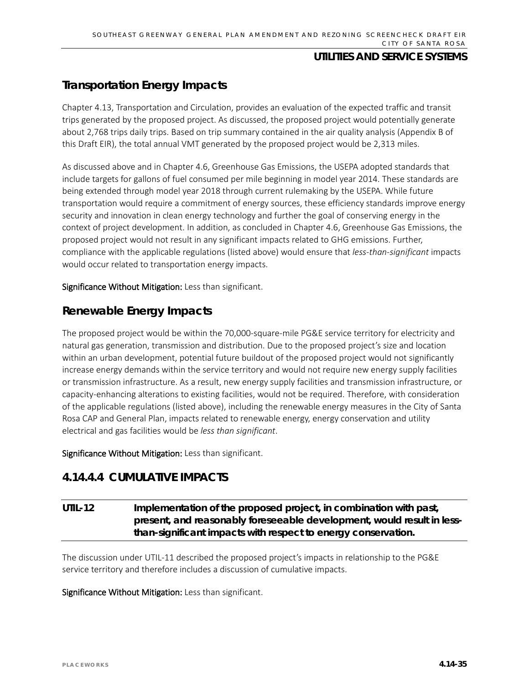# **Transportation Energy Impacts**

Chapter 4.13, Transportation and Circulation, provides an evaluation of the expected traffic and transit trips generated by the proposed project. As discussed, the proposed project would potentially generate about 2,768 trips daily trips. Based on trip summary contained in the air quality analysis (Appendix B of this Draft EIR), the total annual VMT generated by the proposed project would be 2,313 miles.

As discussed above and in Chapter 4.6, Greenhouse Gas Emissions, the USEPA adopted standards that include targets for gallons of fuel consumed per mile beginning in model year 2014. These standards are being extended through model year 2018 through current rulemaking by the USEPA. While future transportation would require a commitment of energy sources, these efficiency standards improve energy security and innovation in clean energy technology and further the goal of conserving energy in the context of project development. In addition, as concluded in Chapter 4.6, Greenhouse Gas Emissions, the proposed project would not result in any significant impacts related to GHG emissions. Further, compliance with the applicable regulations (listed above) would ensure that *less-than-significant* impacts would occur related to transportation energy impacts.

Significance Without Mitigation: Less than significant.

## **Renewable Energy Impacts**

The proposed project would be within the 70,000-square-mile PG&E service territory for electricity and natural gas generation, transmission and distribution. Due to the proposed project's size and location within an urban development, potential future buildout of the proposed project would not significantly increase energy demands within the service territory and would not require new energy supply facilities or transmission infrastructure. As a result, new energy supply facilities and transmission infrastructure, or capacity-enhancing alterations to existing facilities, would not be required. Therefore, with consideration of the applicable regulations (listed above), including the renewable energy measures in the City of Santa Rosa CAP and General Plan, impacts related to renewable energy, energy conservation and utility electrical and gas facilities would be *less than significant*.

Significance Without Mitigation: Less than significant.

## **4.14.4.4 CUMULATIVE IMPACTS**

## **UTIL-12 Implementation of the proposed project, in combination with past, present, and reasonably foreseeable development, would result in lessthan-significant impacts with respect to energy conservation.**

The discussion under UTIL-11 described the proposed project's impacts in relationship to the PG&E service territory and therefore includes a discussion of cumulative impacts.

Significance Without Mitigation: Less than significant.